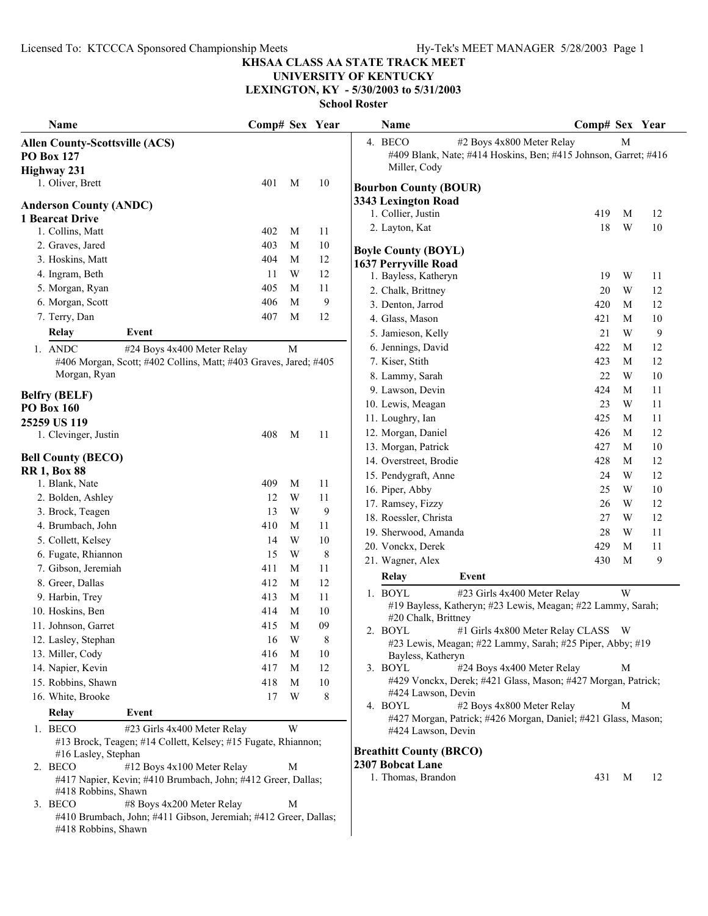## **UNIVERSITY OF KENTUCKY**

**LEXINGTON, KY - 5/30/2003 to 5/31/2003**

| Name                                  |                                                                  | Comp# Sex Year |   |                | Name                                                                                                  | Comp# Sex Year |   |    |
|---------------------------------------|------------------------------------------------------------------|----------------|---|----------------|-------------------------------------------------------------------------------------------------------|----------------|---|----|
| <b>Allen County-Scottsville (ACS)</b> |                                                                  |                |   |                | 4. BECO<br>#2 Boys 4x800 Meter Relay                                                                  |                | M |    |
| <b>PO Box 127</b>                     |                                                                  |                |   |                | #409 Blank, Nate; #414 Hoskins, Ben; #415 Johnson, Garret; #416                                       |                |   |    |
| <b>Highway 231</b>                    |                                                                  |                |   |                | Miller, Cody                                                                                          |                |   |    |
| 1. Oliver, Brett                      |                                                                  | 401            | M | 10             | <b>Bourbon County (BOUR)</b>                                                                          |                |   |    |
|                                       |                                                                  |                |   |                | 3343 Lexington Road                                                                                   |                |   |    |
| <b>Anderson County (ANDC)</b>         |                                                                  |                |   |                | 1. Collier, Justin                                                                                    | 419            | M | 12 |
| 1 Bearcat Drive<br>1. Collins, Matt   |                                                                  | 402            | M | 11             | 2. Layton, Kat                                                                                        | 18             | W | 10 |
| 2. Graves, Jared                      |                                                                  | 403            | M |                |                                                                                                       |                |   |    |
|                                       |                                                                  | 404            | M | 10<br>12       | <b>Boyle County (BOYL)</b>                                                                            |                |   |    |
| 3. Hoskins, Matt                      |                                                                  |                |   |                | 1637 Perryville Road                                                                                  |                |   |    |
| 4. Ingram, Beth                       |                                                                  | 11             | W | 12             | 1. Bayless, Katheryn                                                                                  | 19             | W | 11 |
| 5. Morgan, Ryan                       |                                                                  | 405            | M | 11             | 2. Chalk, Brittney                                                                                    | 20             | W | 12 |
| 6. Morgan, Scott                      |                                                                  | 406            | M | 9              | 3. Denton, Jarrod                                                                                     | 420            | M | 12 |
| 7. Terry, Dan                         |                                                                  | 407            | M | 12             | 4. Glass, Mason                                                                                       | 421            | M | 10 |
| Relay                                 | Event                                                            |                |   |                | 5. Jamieson, Kelly                                                                                    | 21             | W | 9  |
| 1. ANDC                               | #24 Boys 4x400 Meter Relay                                       |                | M |                | 6. Jennings, David                                                                                    | 422            | M | 12 |
|                                       | #406 Morgan, Scott; #402 Collins, Matt; #403 Graves, Jared; #405 |                |   |                | 7. Kiser, Stith                                                                                       | 423            | M | 12 |
| Morgan, Ryan                          |                                                                  |                |   |                | 8. Lammy, Sarah                                                                                       | 22             | W | 10 |
| <b>Belfry (BELF)</b>                  |                                                                  |                |   |                | 9. Lawson, Devin                                                                                      | 424            | M | 11 |
| <b>PO Box 160</b>                     |                                                                  |                |   |                | 10. Lewis, Meagan                                                                                     | 23             | W | 11 |
| 25259 US 119                          |                                                                  |                |   |                | 11. Loughry, Ian                                                                                      | 425            | M | 11 |
| 1. Clevinger, Justin                  |                                                                  | 408            | M | 11             | 12. Morgan, Daniel                                                                                    | 426            | M | 12 |
|                                       |                                                                  |                |   |                | 13. Morgan, Patrick                                                                                   | 427            | M | 10 |
| <b>Bell County (BECO)</b>             |                                                                  |                |   |                | 14. Overstreet, Brodie                                                                                | 428            | M | 12 |
| <b>RR 1, Box 88</b>                   |                                                                  |                |   |                | 15. Pendygraft, Anne                                                                                  | 24             | W | 12 |
| 1. Blank, Nate                        |                                                                  | 409            | M | 11             | 16. Piper, Abby                                                                                       | 25             | W | 10 |
| 2. Bolden, Ashley                     |                                                                  | 12             | W | 11             | 17. Ramsey, Fizzy                                                                                     | 26             | W | 12 |
| 3. Brock, Teagen                      |                                                                  | 13             | W | 9              | 18. Roessler, Christa                                                                                 | 27             | W | 12 |
| 4. Brumbach, John                     |                                                                  | 410            | M | 11             | 19. Sherwood, Amanda                                                                                  | 28             | W | 11 |
| 5. Collett, Kelsey                    |                                                                  | 14             | W | 10             | 20. Vonckx, Derek                                                                                     | 429            | M | 11 |
| 6. Fugate, Rhiannon                   |                                                                  | 15             | W | $8\phantom{1}$ | 21. Wagner, Alex                                                                                      | 430            | M | 9  |
| 7. Gibson, Jeremiah                   |                                                                  | 411            | M | 11             | <b>Relay</b><br>Event                                                                                 |                |   |    |
| 8. Greer, Dallas                      |                                                                  | 412            | M | 12             |                                                                                                       |                |   |    |
| 9. Harbin, Trey                       |                                                                  | 413            | M | 11             | 1. BOYL<br>#23 Girls 4x400 Meter Relay<br>#19 Bayless, Katheryn; #23 Lewis, Meagan; #22 Lammy, Sarah; |                | W |    |
| 10. Hoskins, Ben                      |                                                                  | 414            | M | $10\,$         | #20 Chalk, Brittney                                                                                   |                |   |    |
| 11. Johnson, Garret                   |                                                                  | 415            | M | 09             | #1 Girls 4x800 Meter Relay CLASS W<br>2. BOYL                                                         |                |   |    |
| 12. Lasley, Stephan                   |                                                                  | 16             | W | 8              | #23 Lewis, Meagan; #22 Lammy, Sarah; #25 Piper, Abby; #19                                             |                |   |    |
| 13. Miller, Cody                      |                                                                  | 416            | M | $10\,$         | Bayless, Katheryn                                                                                     |                |   |    |
| 14. Napier, Kevin                     |                                                                  | 417            | M | 12             | 3. BOYL<br>#24 Boys 4x400 Meter Relay                                                                 |                | М |    |
| 15. Robbins, Shawn                    |                                                                  | 418            | M | 10             | #429 Vonckx, Derek; #421 Glass, Mason; #427 Morgan, Patrick;                                          |                |   |    |
| 16. White, Brooke                     |                                                                  | 17             | W | 8              | #424 Lawson, Devin                                                                                    |                |   |    |
| <b>Relay</b>                          | Event                                                            |                |   |                | #2 Boys 4x800 Meter Relay<br>4. BOYL                                                                  |                | M |    |
| 1. BECO                               | #23 Girls 4x400 Meter Relay                                      |                | W |                | #427 Morgan, Patrick; #426 Morgan, Daniel; #421 Glass, Mason;<br>#424 Lawson, Devin                   |                |   |    |
|                                       | #13 Brock, Teagen; #14 Collett, Kelsey; #15 Fugate, Rhiannon;    |                |   |                |                                                                                                       |                |   |    |
| #16 Lasley, Stephan                   |                                                                  |                |   |                | <b>Breathitt County (BRCO)</b>                                                                        |                |   |    |
| 2. BECO                               | #12 Boys 4x100 Meter Relay                                       |                | M |                | 2307 Bobcat Lane                                                                                      |                |   |    |
|                                       | #417 Napier, Kevin; #410 Brumbach, John; #412 Greer, Dallas;     |                |   |                | 1. Thomas, Brandon                                                                                    | 431            | M | 12 |
| #418 Robbins, Shawn                   |                                                                  |                |   |                |                                                                                                       |                |   |    |
| 3. BECO                               | #8 Boys 4x200 Meter Relay                                        |                | M |                |                                                                                                       |                |   |    |
|                                       | #410 Brumbach, John; #411 Gibson, Jeremiah; #412 Greer, Dallas;  |                |   |                |                                                                                                       |                |   |    |
| #418 Robbins, Shawn                   |                                                                  |                |   |                |                                                                                                       |                |   |    |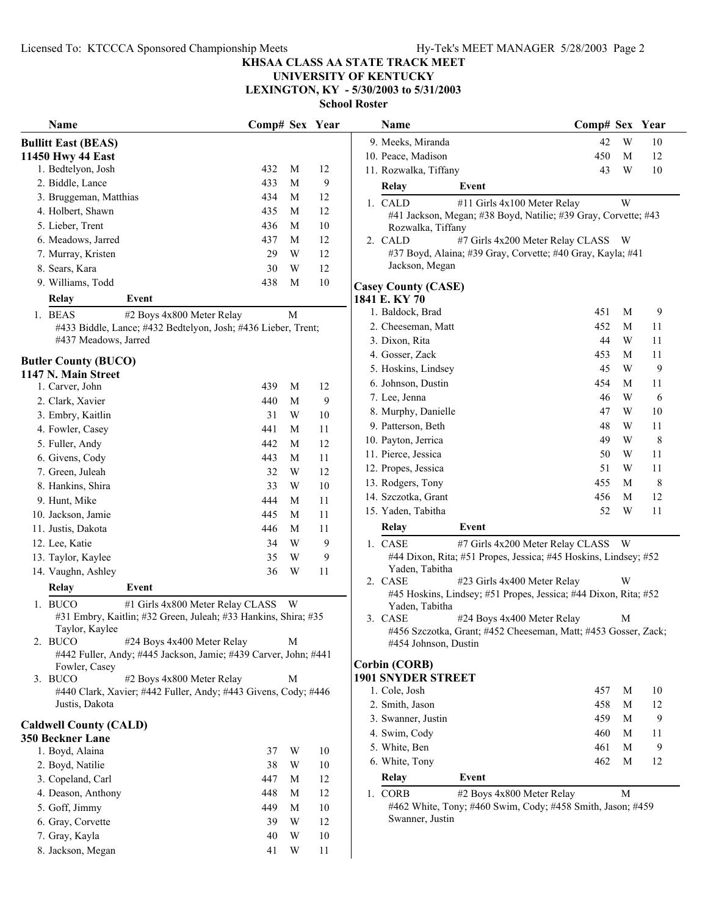**Name Sex Year Name Year Comp# Comp# Sex**

#### **KHSAA CLASS AA STATE TRACK MEET**

**UNIVERSITY OF KENTUCKY**

**LEXINGTON, KY - 5/30/2003 to 5/31/2003**

**School Roster**

| Name                          |                                                                                               | Comp# Sex Year |   |    | Name                       |       |
|-------------------------------|-----------------------------------------------------------------------------------------------|----------------|---|----|----------------------------|-------|
| <b>Bullitt East (BEAS)</b>    |                                                                                               |                |   |    | 9. Meeks, Miranda          |       |
| 11450 Hwy 44 East             |                                                                                               |                |   |    | 10. Peace, Madison         |       |
| 1. Bedtelyon, Josh            |                                                                                               | 432            | М | 12 | 11. Rozwalka, Tiffany      |       |
| 2. Biddle, Lance              |                                                                                               | 433            | М | 9  | Relay                      | Ever  |
| 3. Bruggeman, Matthias        |                                                                                               | 434            | М | 12 | 1. CALD                    | #11 ( |
| 4. Holbert, Shawn             |                                                                                               | 435            | М | 12 | #41 Jackson, Megan;        |       |
| 5. Lieber, Trent              |                                                                                               | 436            | М | 10 | Rozwalka, Tiffany          |       |
| 6. Meadows, Jarred            |                                                                                               | 437            | M | 12 | 2. CALD                    | #7 G  |
| 7. Murray, Kristen            |                                                                                               | 29             | W | 12 | #37 Boyd, Alaina; #3       |       |
| 8. Sears, Kara                |                                                                                               | 30             | W | 12 | Jackson, Megan             |       |
| 9. Williams, Todd             |                                                                                               | 438            | М | 10 | <b>Casey County (CASE)</b> |       |
| Relay                         | Event                                                                                         |                |   |    | 1841 E. KY 70              |       |
| 1. BEAS                       | #2 Boys 4x800 Meter Relay                                                                     |                | М |    | 1. Baldock, Brad           |       |
|                               | #433 Biddle, Lance; #432 Bedtelyon, Josh; #436 Lieber, Trent;                                 |                |   |    | 2. Cheeseman, Matt         |       |
|                               | #437 Meadows, Jarred                                                                          |                |   |    | 3. Dixon, Rita             |       |
|                               |                                                                                               |                |   |    | 4. Gosser, Zack            |       |
| <b>Butler County (BUCO)</b>   |                                                                                               |                |   |    | 5. Hoskins, Lindsey        |       |
| 1147 N. Main Street           |                                                                                               |                |   |    | 6. Johnson, Dustin         |       |
| 1. Carver, John               |                                                                                               | 439            | М | 12 | 7. Lee, Jenna              |       |
| 2. Clark, Xavier              |                                                                                               | 440            | M | 9  |                            |       |
| 3. Embry, Kaitlin             |                                                                                               | 31             | W | 10 | 8. Murphy, Danielle        |       |
| 4. Fowler, Casey              |                                                                                               | 441            | M | 11 | 9. Patterson, Beth         |       |
| 5. Fuller, Andy               |                                                                                               | 442            | M | 12 | 10. Payton, Jerrica        |       |
| 6. Givens, Cody               |                                                                                               | 443            | M | 11 | 11. Pierce, Jessica        |       |
| 7. Green, Juleah              |                                                                                               | 32             | W | 12 | 12. Propes, Jessica        |       |
| 8. Hankins, Shira             |                                                                                               | 33             | W | 10 | 13. Rodgers, Tony          |       |
| 9. Hunt, Mike                 |                                                                                               | 444            | М | 11 | 14. Szczotka, Grant        |       |
| 10. Jackson, Jamie            |                                                                                               | 445            | М | 11 | 15. Yaden, Tabitha         |       |
| 11. Justis, Dakota            |                                                                                               | 446            | М | 11 | <b>Relay</b>               | Ever  |
| 12. Lee, Katie                |                                                                                               | 34             | W | 9  | 1. CASE                    | #7 G  |
| 13. Taylor, Kaylee            |                                                                                               | 35             | W | 9  | #44 Dixon, Rita; #51       |       |
| 14. Vaughn, Ashley            |                                                                                               | 36             | W | 11 | Yaden, Tabitha             |       |
|                               |                                                                                               |                |   |    | 2. CASE                    | #23   |
| <b>Relay</b>                  | Event                                                                                         |                |   |    | #45 Hoskins, Lindsey       |       |
| 1. BUCO                       | #1 Girls 4x800 Meter Relay CLASS                                                              |                | W |    | Yaden, Tabitha             |       |
|                               | #31 Embry, Kaitlin; #32 Green, Juleah; #33 Hankins, Shira; #35                                |                |   |    | 3. CASE                    | #24 I |
|                               | Taylor, Kaylee                                                                                |                |   |    | #456 Szczotka, Grant       |       |
| 2. BUCO                       | #24 Boys 4x400 Meter Relay<br>#442 Fuller, Andy; #445 Jackson, Jamie; #439 Carver, John; #441 |                | M |    | #454 Johnson, Dustin       |       |
| Fowler, Casey                 |                                                                                               |                |   |    | <b>Corbin (CORB)</b>       |       |
| 3. BUCO                       | #2 Boys 4x800 Meter Relay                                                                     |                | M |    | <b>1901 SNYDER STREET</b>  |       |
|                               | #440 Clark, Xavier; #442 Fuller, Andy; #443 Givens, Cody; #446                                |                |   |    | 1. Cole, Josh              |       |
| Justis, Dakota                |                                                                                               |                |   |    | 2. Smith, Jason            |       |
|                               |                                                                                               |                |   |    | 3. Swanner, Justin         |       |
| <b>Caldwell County (CALD)</b> |                                                                                               |                |   |    | 4. Swim, Cody              |       |
| 350 Beckner Lane              |                                                                                               |                |   |    | 5. White, Ben              |       |
| 1. Boyd, Alaina               |                                                                                               | 37             | W | 10 | 6. White, Tony             |       |
| 2. Boyd, Natilie              |                                                                                               | 38             | W | 10 |                            |       |
| 3. Copeland, Carl             |                                                                                               | 447            | M | 12 | Relay                      | Ever  |
| 4. Deason, Anthony            |                                                                                               | 448            | M | 12 | 1. CORB                    | #2 B  |
| 5. Goff, Jimmy                |                                                                                               | 449            | M | 10 | #462 White, Tony; #4       |       |
| 6. Gray, Corvette             |                                                                                               | 39             | W | 12 | Swanner, Justin            |       |
| 7. Gray, Kayla                |                                                                                               | 40             | W | 10 |                            |       |
| 8. Jackson, Megan             |                                                                                               | 41             | W | 11 |                            |       |

|         | 9. Meeks, Miranda     |                                                                 | 42  | W | 10 |
|---------|-----------------------|-----------------------------------------------------------------|-----|---|----|
|         | 10. Peace, Madison    |                                                                 | 450 | М | 12 |
|         | 11. Rozwalka, Tiffany |                                                                 | 43  | W | 10 |
|         | Relay                 | Event                                                           |     |   |    |
| $1_{-}$ | <b>CALD</b>           | #11 Girls 4x100 Meter Relay                                     |     | W |    |
|         |                       | #41 Jackson, Megan; #38 Boyd, Natilie; #39 Gray, Corvette; #43  |     |   |    |
|         | Rozwalka, Tiffany     |                                                                 |     |   |    |
| $2^{+}$ | CALD                  | #7 Girls 4x200 Meter Relay CLASS                                |     | W |    |
|         |                       | #37 Boyd, Alaina; #39 Gray, Corvette; #40 Gray, Kayla; #41      |     |   |    |
|         | Jackson, Megan        |                                                                 |     |   |    |
|         | usey County (CASE)    |                                                                 |     |   |    |
|         | 41 E. KY 70           |                                                                 |     |   |    |
|         | 1. Baldock, Brad      |                                                                 | 451 | M | 9  |
|         | 2. Cheeseman, Matt    |                                                                 | 452 | М | 11 |
|         | 3. Dixon, Rita        |                                                                 | 44  | W | 11 |
|         | 4. Gosser, Zack       |                                                                 | 453 | М | 11 |
|         | 5. Hoskins, Lindsey   |                                                                 | 45  | W | 9  |
|         | 6. Johnson, Dustin    |                                                                 | 454 | М | 11 |
|         | 7. Lee, Jenna         |                                                                 | 46  | W | 6  |
|         | 8. Murphy, Danielle   |                                                                 | 47  | W | 10 |
|         | 9. Patterson, Beth    |                                                                 | 48  | W | 11 |
|         | 10. Payton, Jerrica   |                                                                 | 49  | W | 8  |
|         | 11. Pierce, Jessica   |                                                                 | 50  | W | 11 |
|         | 12. Propes, Jessica   |                                                                 | 51  | W | 11 |
|         | 13. Rodgers, Tony     |                                                                 | 455 | М | 8  |
|         | 14. Szczotka, Grant   |                                                                 | 456 | М | 12 |
|         | 15. Yaden, Tabitha    |                                                                 | 52  | W | 11 |
|         | Relay                 | Event                                                           |     |   |    |
| 1.      | CASE                  | #7 Girls 4x200 Meter Relay CLASS                                |     | W |    |
|         |                       | #44 Dixon, Rita; #51 Propes, Jessica; #45 Hoskins, Lindsey; #52 |     |   |    |
|         | Vodon Tobitho         |                                                                 |     |   |    |

- Girls 4x400 Meter Relay W 7; #51 Propes, Jessica; #44 Dixon, Rita; #52
- Boys 4x400 Meter Relay M t; #452 Cheeseman, Matt; #453 Gosser, Zack; #454 Johnson, Dustin

| Relay              | Event |     |   |    |
|--------------------|-------|-----|---|----|
| 6. White, Tony     |       | 462 | M | 12 |
| 5. White, Ben      |       | 461 | M | 9  |
| 4. Swim, Cody      |       | 460 | M | 11 |
| 3. Swanner, Justin |       | 459 | M | 9  |
| 2. Smith, Jason    |       | 458 | М | 12 |
| 1. Cole, Josh      |       | 457 | М | 10 |
|                    |       |     |   |    |

#462 White, Tony; #460 Swim, Cody; #458 Smith, Jason; #459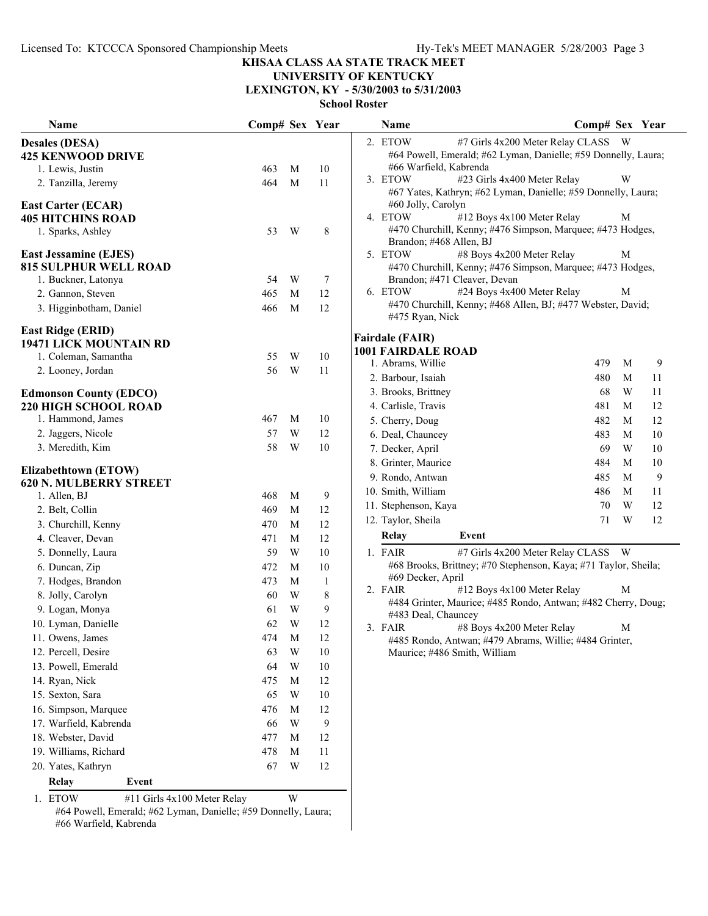#### **UNIVERSITY OF KENTUCKY LEXINGTON, KY - 5/30/2003 to 5/31/2003**

**School Roster**

| Name                                                  | Comp# Sex Year |   |              | Name                      | Comp# Sex Year                                                  |   |    |
|-------------------------------------------------------|----------------|---|--------------|---------------------------|-----------------------------------------------------------------|---|----|
| <b>Desales (DESA)</b>                                 |                |   |              | 2. ETOW                   | #7 Girls 4x200 Meter Relay CLASS W                              |   |    |
| <b>425 KENWOOD DRIVE</b>                              |                |   |              |                           | #64 Powell, Emerald; #62 Lyman, Danielle; #59 Donnelly, Laura;  |   |    |
| 1. Lewis, Justin                                      | 463            | M | 10           | #66 Warfield, Kabrenda    |                                                                 |   |    |
| 2. Tanzilla, Jeremy                                   | 464            | M | 11           | 3. ETOW                   | #23 Girls 4x400 Meter Relay                                     | W |    |
|                                                       |                |   |              | #60 Jolly, Carolyn        | #67 Yates, Kathryn; #62 Lyman, Danielle; #59 Donnelly, Laura;   |   |    |
| <b>East Carter (ECAR)</b><br><b>405 HITCHINS ROAD</b> |                |   |              | 4. ETOW                   | #12 Boys 4x100 Meter Relay                                      | M |    |
| 1. Sparks, Ashley                                     | 53             | W | 8            |                           | #470 Churchill, Kenny; #476 Simpson, Marquee; #473 Hodges,      |   |    |
|                                                       |                |   |              | Brandon; #468 Allen, BJ   |                                                                 |   |    |
| <b>East Jessamine (EJES)</b>                          |                |   |              | 5. ETOW                   | #8 Boys 4x200 Meter Relay                                       | M |    |
| <b>815 SULPHUR WELL ROAD</b>                          |                |   |              |                           | #470 Churchill, Kenny; #476 Simpson, Marquee; #473 Hodges,      |   |    |
| 1. Buckner, Latonya                                   | 54             | W | 7            |                           | Brandon; #471 Cleaver, Devan                                    |   |    |
| 2. Gannon, Steven                                     | 465            | M | 12           | 6. ETOW                   | #24 Boys 4x400 Meter Relay                                      | M |    |
| 3. Higginbotham, Daniel                               | 466            | M | 12           | #475 Ryan, Nick           | #470 Churchill, Kenny; #468 Allen, BJ; #477 Webster, David;     |   |    |
| <b>East Ridge (ERID)</b>                              |                |   |              |                           |                                                                 |   |    |
| 19471 LICK MOUNTAIN RD                                |                |   |              | <b>Fairdale (FAIR)</b>    |                                                                 |   |    |
| 1. Coleman, Samantha                                  | 55             | W | 10           | <b>1001 FAIRDALE ROAD</b> | 479                                                             | M |    |
| 2. Looney, Jordan                                     | 56             | W | 11           | 1. Abrams, Willie         |                                                                 |   | 9  |
|                                                       |                |   |              | 2. Barbour, Isaiah        | 480                                                             | M | 11 |
| <b>Edmonson County (EDCO)</b>                         |                |   |              | 3. Brooks, Brittney       | 68                                                              | W | 11 |
| <b>220 HIGH SCHOOL ROAD</b>                           | 467            | M | 10           | 4. Carlisle, Travis       | 481                                                             | M | 12 |
| 1. Hammond, James                                     |                |   |              | 5. Cherry, Doug           | 482                                                             | M | 12 |
| 2. Jaggers, Nicole                                    | 57             | W | 12           | 6. Deal, Chauncey         | 483                                                             | M | 10 |
| 3. Meredith, Kim                                      | 58             | W | 10           | 7. Decker, April          | 69                                                              | W | 10 |
| Elizabethtown (ETOW)                                  |                |   |              | 8. Grinter, Maurice       | 484                                                             | M | 10 |
| <b>620 N. MULBERRY STREET</b>                         |                |   |              | 9. Rondo, Antwan          | 485                                                             | M | 9  |
| 1. Allen, BJ                                          | 468            | M | 9            | 10. Smith, William        | 486                                                             | M | 11 |
| 2. Belt, Collin                                       | 469            | M | 12           | 11. Stephenson, Kaya      | 70                                                              | W | 12 |
| 3. Churchill, Kenny                                   | 470            | M | 12           | 12. Taylor, Sheila        | 71                                                              | W | 12 |
| 4. Cleaver, Devan                                     | 471            | M | 12           | <b>Relay</b>              | Event                                                           |   |    |
| 5. Donnelly, Laura                                    | 59             | W | 10           | 1. FAIR                   | #7 Girls 4x200 Meter Relay CLASS W                              |   |    |
| 6. Duncan, Zip                                        | 472            | M | 10           |                           | #68 Brooks, Brittney; #70 Stephenson, Kaya; #71 Taylor, Sheila; |   |    |
| 7. Hodges, Brandon                                    | 473            | M | $\mathbf{1}$ | #69 Decker, April         |                                                                 |   |    |
| 8. Jolly, Carolyn                                     | 60             | W | 8            | 2. FAIR                   | #12 Boys 4x100 Meter Relay                                      | М |    |
| 9. Logan, Monya                                       | 61             | W | 9            | #483 Deal, Chauncey       | #484 Grinter, Maurice; #485 Rondo, Antwan; #482 Cherry, Doug;   |   |    |
| 10. Lyman, Danielle                                   | 62             | W | 12           | 3. FAIR                   | #8 Boys 4x200 Meter Relay                                       | M |    |
| 11. Owens, James                                      | 474            | M | 12           |                           | #485 Rondo, Antwan; #479 Abrams, Willie; #484 Grinter,          |   |    |
| 12. Percell, Desire                                   | 63             | W | 10           |                           | Maurice; #486 Smith, William                                    |   |    |
| 13. Powell, Emerald                                   | 64             | W | 10           |                           |                                                                 |   |    |
| 14. Ryan, Nick                                        | 475            | M | 12           |                           |                                                                 |   |    |
| 15. Sexton, Sara                                      | 65             | W | 10           |                           |                                                                 |   |    |
| 16. Simpson, Marquee                                  | 476            | M | 12           |                           |                                                                 |   |    |
| 17. Warfield, Kabrenda                                | 66             | W | 9            |                           |                                                                 |   |    |
| 18. Webster, David                                    | 477            | M | 12           |                           |                                                                 |   |    |
| 19. Williams, Richard                                 | 478            | M | 11           |                           |                                                                 |   |    |
| 20. Yates, Kathryn                                    | 67             | W | 12           |                           |                                                                 |   |    |
| Relay<br>Event                                        |                |   |              |                           |                                                                 |   |    |
| 1. ETOW<br>#11 Girls 4x100 Meter Relay                |                | W |              |                           |                                                                 |   |    |

#64 Powell, Emerald; #62 Lyman, Danielle; #59 Donnelly, Laura; #66 Warfield, Kabrenda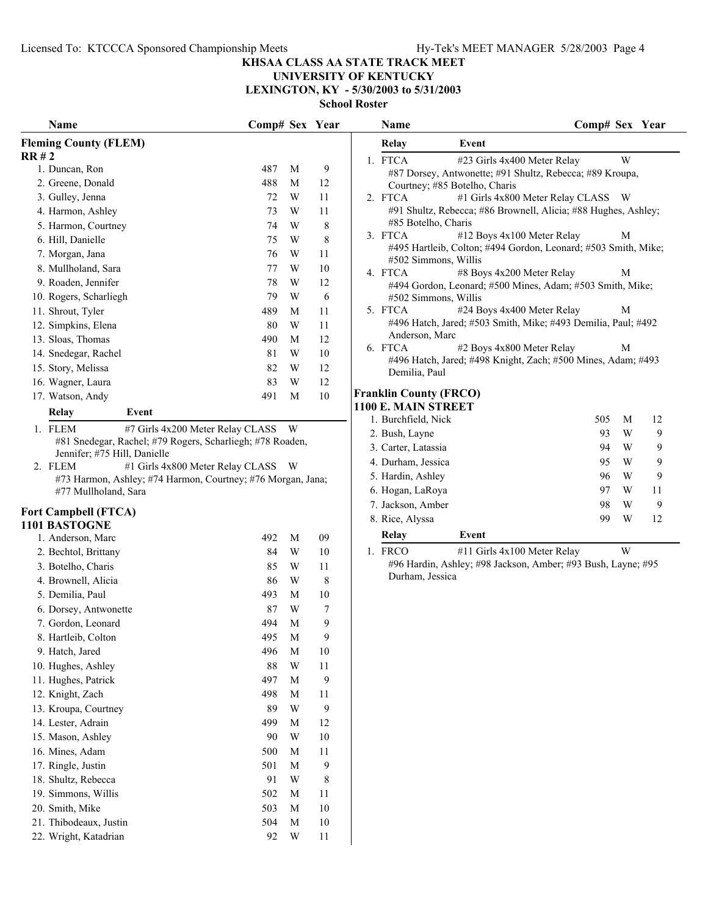#### **KHSAA CLASS AA STATE TRACK MEET**

#### **UNIVERSITY OF KENTUCKY LEXINGTON, KY - 5/30/2003 to 5/31/2003**

|                                                             |                                    |   |                  | <b>SCHOOL KOSTEI</b>                                                          |                                                                |
|-------------------------------------------------------------|------------------------------------|---|------------------|-------------------------------------------------------------------------------|----------------------------------------------------------------|
| Name                                                        | Comp# Sex Year                     |   |                  | <b>Name</b>                                                                   | Comp# Sex Year                                                 |
| <b>Fleming County (FLEM)</b>                                |                                    |   |                  | Relay<br>Event                                                                |                                                                |
| RR#2                                                        |                                    |   |                  | 1. FTCA<br>#23 Girls 4x400 Meter Relay                                        | W                                                              |
| 1. Duncan, Ron                                              | 487                                | M | 9                | #87 Dorsey, Antwonette; #91 Shultz, Rebecca; #89 Kroupa,                      |                                                                |
| 2. Greene, Donald                                           | 488                                | M | 12               | Courtney; #85 Botelho, Charis                                                 |                                                                |
| 3. Gulley, Jenna                                            | 72                                 | W | 11               | 2. FTCA                                                                       | #1 Girls 4x800 Meter Relay CLASS W                             |
| 4. Harmon, Ashley                                           | 73                                 | W | 11               | #91 Shultz, Rebecca; #86 Brownell, Alicia; #88 Hughes, Ashley;                |                                                                |
| 5. Harmon, Courtney                                         | 74                                 | W | 8                | #85 Botelho, Charis<br>3. FTCA<br>#12 Boys 4x100 Meter Relay                  | M                                                              |
| 6. Hill, Danielle                                           | 75                                 | W | 8                |                                                                               | #495 Hartleib, Colton; #494 Gordon, Leonard; #503 Smith, Mike; |
| 7. Morgan, Jana                                             | 76                                 | W | 11               | #502 Simmons, Willis                                                          |                                                                |
| 8. Mullholand, Sara                                         | 77                                 | W | 10               | #8 Boys 4x200 Meter Relay<br>4. FTCA                                          | M                                                              |
| 9. Roaden, Jennifer                                         | 78                                 | W | 12               | #494 Gordon, Leonard; #500 Mines, Adam; #503 Smith, Mike;                     |                                                                |
| 10. Rogers, Scharliegh                                      | 79                                 | W | 6                | #502 Simmons, Willis                                                          |                                                                |
| 11. Shrout, Tyler                                           | 489                                | M | 11               | 5. FTCA<br>#24 Boys 4x400 Meter Relay                                         | М                                                              |
| 12. Simpkins, Elena                                         | 80                                 | W | 11               | #496 Hatch, Jared; #503 Smith, Mike; #493 Demilia, Paul; #492                 |                                                                |
| 13. Sloas, Thomas                                           | 490                                | M | 12               | Anderson, Marc                                                                |                                                                |
| 14. Snedegar, Rachel                                        | 81                                 | W | $10\,$           | 6. FTCA<br>#2 Boys 4x800 Meter Relay                                          | M                                                              |
| 15. Story, Melissa                                          | 82                                 | W | 12               | #496 Hatch, Jared; #498 Knight, Zach; #500 Mines, Adam; #493<br>Demilia, Paul |                                                                |
| 16. Wagner, Laura                                           | 83                                 | W | $12\,$           |                                                                               |                                                                |
| 17. Watson, Andy                                            | 491                                | M | $10\,$           | <b>Franklin County (FRCO)</b>                                                 |                                                                |
| Relay<br>Event                                              |                                    |   |                  | 1100 E. MAIN STREET                                                           |                                                                |
| 1. FLEM                                                     | #7 Girls 4x200 Meter Relay CLASS W |   |                  | 1. Burchfield, Nick                                                           | 505<br>M<br>12                                                 |
| #81 Snedegar, Rachel; #79 Rogers, Scharliegh; #78 Roaden,   |                                    |   |                  | 2. Bush, Layne                                                                | 93<br>W<br>9                                                   |
| Jennifer; #75 Hill, Danielle                                |                                    |   |                  | 3. Carter, Latassia                                                           | 9<br>94<br>W                                                   |
| 2. FLEM                                                     | #1 Girls 4x800 Meter Relay CLASS W |   |                  | 4. Durham, Jessica                                                            | 9<br>95<br>W                                                   |
| #73 Harmon, Ashley; #74 Harmon, Courtney; #76 Morgan, Jana; |                                    |   |                  | 5. Hardin, Ashley                                                             | 9<br>96<br>W                                                   |
| #77 Mullholand, Sara                                        |                                    |   |                  | 6. Hogan, LaRoya                                                              | W<br>97<br>11                                                  |
|                                                             |                                    |   |                  | 7. Jackson, Amber                                                             | $\overline{9}$<br>W<br>98                                      |
| <b>Fort Campbell (FTCA)</b><br>1101 BASTOGNE                |                                    |   |                  | 8. Rice, Alyssa                                                               | W<br>12<br>99                                                  |
| 1. Anderson, Marc                                           | 492                                | M | 09               | <b>Relay</b><br>Event                                                         |                                                                |
| 2. Bechtol, Brittany                                        | 84                                 | W | 10               | 1. FRCO<br>#11 Girls 4x100 Meter Relay                                        | W                                                              |
| 3. Botelho, Charis                                          | 85                                 | W | 11               | #96 Hardin, Ashley; #98 Jackson, Amber; #93 Bush, Layne; #95                  |                                                                |
| 4. Brownell, Alicia                                         | 86                                 | W | 8                | Durham, Jessica                                                               |                                                                |
| 5. Demilia, Paul                                            | 493                                | M | $10\,$           |                                                                               |                                                                |
| 6. Dorsey, Antwonette                                       | 87                                 | W | $\boldsymbol{7}$ |                                                                               |                                                                |
|                                                             | 494                                |   |                  |                                                                               |                                                                |
| 7. Gordon, Leonard                                          |                                    | M | 9                |                                                                               |                                                                |
| 8. Hartleib, Colton                                         | 495                                | M | 9                |                                                                               |                                                                |
| 9. Hatch, Jared                                             | 496                                | M | $10\,$           |                                                                               |                                                                |
| 10. Hughes, Ashley                                          | 88                                 | W | 11               |                                                                               |                                                                |
| 11. Hughes, Patrick                                         | 497                                | M | 9                |                                                                               |                                                                |
| 12. Knight, Zach                                            | 498                                | M | 11               |                                                                               |                                                                |
| 13. Kroupa, Courtney                                        | 89                                 | W | 9                |                                                                               |                                                                |
| 14. Lester, Adrain                                          | 499                                | M | 12               |                                                                               |                                                                |
| 15. Mason, Ashley                                           | 90                                 | W | $10\,$           |                                                                               |                                                                |
| 16. Mines, Adam                                             | 500                                | M | 11               |                                                                               |                                                                |
| 17. Ringle, Justin                                          | 501                                | M | 9                |                                                                               |                                                                |
| 18. Shultz, Rebecca                                         | 91                                 | W | $\,$ 8 $\,$      |                                                                               |                                                                |
| 19. Simmons, Willis                                         | 502                                | M | 11               |                                                                               |                                                                |
| 20. Smith, Mike                                             | 503                                | M | $10\,$           |                                                                               |                                                                |
| 21. Thibodeaux, Justin                                      | 504                                | M | $10\,$           |                                                                               |                                                                |
| 22. Wright, Katadrian                                       | 92                                 | W | $11\,$           |                                                                               |                                                                |
|                                                             |                                    |   |                  |                                                                               |                                                                |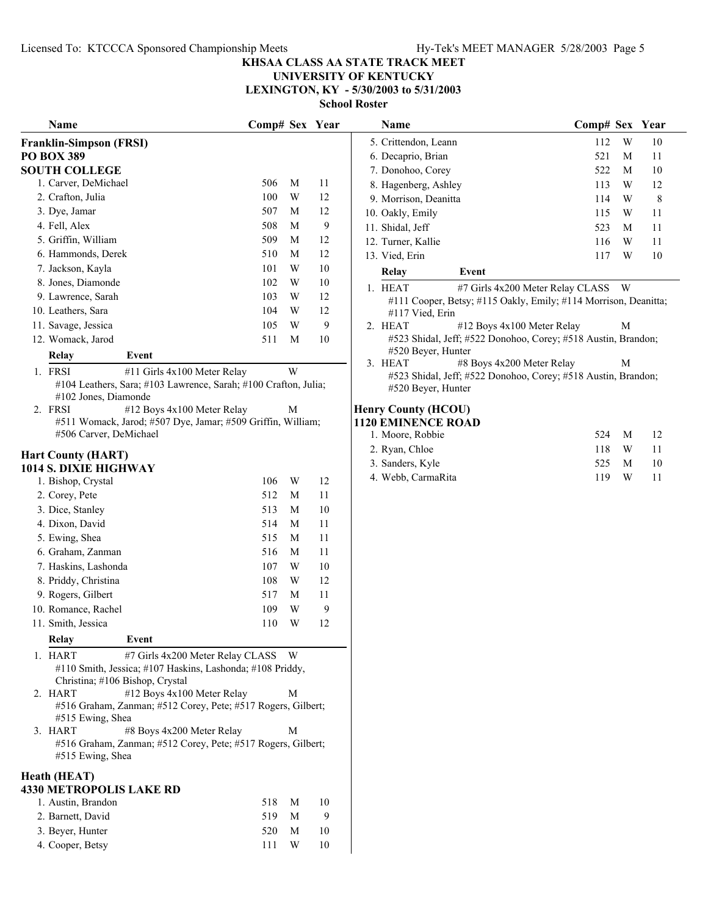#### **UNIVERSITY OF KENTUCKY LEXINGTON, KY - 5/30/2003 to 5/31/2003**

|         | Name                                                                                  | Comp# Sex Year |   |    |
|---------|---------------------------------------------------------------------------------------|----------------|---|----|
|         | <b>Franklin-Simpson (FRSI)</b>                                                        |                |   |    |
|         | <b>PO BOX 389</b>                                                                     |                |   |    |
|         | <b>SOUTH COLLEGE</b>                                                                  |                |   |    |
|         | 1. Carver, DeMichael                                                                  | 506            | М | 11 |
|         | 2. Crafton, Julia                                                                     | 100            | W | 12 |
|         | 3. Dye, Jamar                                                                         | 507            | М | 12 |
|         | 4. Fell, Alex                                                                         | 508            | М | 9  |
|         | 5. Griffin, William                                                                   | 509            | М | 12 |
|         | 6. Hammonds, Derek                                                                    | 510            | М | 12 |
|         | 7. Jackson, Kayla                                                                     | 101            | W | 10 |
|         | 8. Jones, Diamonde                                                                    | 102            | W | 10 |
|         | 9. Lawrence, Sarah                                                                    | 103            | W | 12 |
|         | 10. Leathers, Sara                                                                    | 104            | W | 12 |
|         | 11. Savage, Jessica                                                                   | 105            | W | 9  |
|         | 12. Womack, Jarod                                                                     | 511            | М | 10 |
|         | Event<br>Relay                                                                        |                |   |    |
|         | 1. FRSI<br>#11 Girls 4x100 Meter Relay                                                |                | W |    |
|         | #104 Leathers, Sara; #103 Lawrence, Sarah; #100 Crafton, Julia;                       |                |   |    |
|         | #102 Jones, Diamonde                                                                  |                |   |    |
| $2_{-}$ | FRSI<br>#12 Boys 4x100 Meter Relay                                                    |                | М |    |
|         | #511 Womack, Jarod; #507 Dye, Jamar; #509 Griffin, William;<br>#506 Carver, DeMichael |                |   |    |
|         |                                                                                       |                |   |    |
|         | <b>Hart County (HART)</b>                                                             |                |   |    |
|         | 1014 S. DIXIE HIGHWAY                                                                 |                |   |    |
|         | 1. Bishop, Crystal                                                                    | 106            | W | 12 |
|         | 2. Corey, Pete                                                                        | 512            | М | 11 |
|         | 3. Dice, Stanley                                                                      | 513            | М | 10 |
|         | 4. Dixon, David                                                                       | 514            | М | 11 |
|         | 5. Ewing, Shea                                                                        | 515            | М | 11 |
|         | 6. Graham, Zanman                                                                     | 516            | М | 11 |
|         | 7. Haskins, Lashonda                                                                  | 107            | W | 10 |
|         | 8. Priddy, Christina                                                                  | 108            | W | 12 |
|         | 9. Rogers, Gilbert                                                                    | 517            | М | 11 |
|         | 10. Romance, Rachel                                                                   | 109            | W | 9  |
|         | 11. Smith, Jessica                                                                    | 110            | W | 12 |
|         | Relay<br>Event                                                                        |                |   |    |
| 1.      | <b>HART</b><br>#7 Girls 4x200 Meter Relay CLASS                                       |                | W |    |
|         | #110 Smith, Jessica; #107 Haskins, Lashonda; #108 Priddy,                             |                |   |    |
|         | Christina; #106 Bishop, Crystal                                                       |                |   |    |
|         | 2. HART<br>#12 Boys 4x100 Meter Relay                                                 |                | М |    |
|         | #516 Graham, Zanman; #512 Corey, Pete; #517 Rogers, Gilbert;                          |                |   |    |
|         | #515 Ewing, Shea                                                                      |                |   |    |
|         | #8 Boys 4x200 Meter Relay<br>3. HART                                                  |                | М |    |
|         | #516 Graham, Zanman; #512 Corey, Pete; #517 Rogers, Gilbert;                          |                |   |    |
|         | #515 Ewing, Shea                                                                      |                |   |    |
|         | Heath (HEAT)                                                                          |                |   |    |
|         | <b>4330 METROPOLIS LAKE RD</b>                                                        |                |   |    |
|         | 1. Austin, Brandon                                                                    | 518            | M | 10 |
|         | 2. Barnett, David                                                                     | 519            | М | 9  |
|         | 3. Beyer, Hunter                                                                      | 520            | М | 10 |
|         | 4. Cooper, Betsy                                                                      | 111            | W | 10 |

| Name                                                                                    | Comp# Sex Year |   |    | Name                                                                                                  | Comp# Sex Year |   |    |  |
|-----------------------------------------------------------------------------------------|----------------|---|----|-------------------------------------------------------------------------------------------------------|----------------|---|----|--|
| din-Simpson (FRSI)                                                                      |                |   |    | 5. Crittendon, Leann                                                                                  | 112            | W | 10 |  |
| OX 389                                                                                  |                |   |    | 6. Decaprio, Brian                                                                                    | 521            | M | 11 |  |
| <b>TH COLLEGE</b>                                                                       |                |   |    | 7. Donohoo, Corey                                                                                     | 522            | M | 10 |  |
| Carver, DeMichael                                                                       | 506            | M | 11 | 8. Hagenberg, Ashley                                                                                  | 113            | W | 12 |  |
| Crafton, Julia                                                                          | 100            | W | 12 | 9. Morrison, Deanitta                                                                                 | 114            | W | 8  |  |
| Dye, Jamar                                                                              | 507            | M | 12 | 10. Oakly, Emily                                                                                      | 115            | W | 11 |  |
| Fell, Alex                                                                              | 508            | M | 9  | 11. Shidal, Jeff                                                                                      | 523            | M | 11 |  |
| Griffin, William                                                                        | 509            | M | 12 | 12. Turner, Kallie                                                                                    | 116            | W | 11 |  |
| Hammonds, Derek                                                                         | 510            | M | 12 | 13. Vied, Erin                                                                                        | 117            | W | 10 |  |
| Jackson, Kayla                                                                          | 101            | W | 10 | Relay<br>Event                                                                                        |                |   |    |  |
| Jones, Diamonde                                                                         | 102            | W | 10 | 1. HEAT<br>#7 Girls 4x200 Meter Relay CLASS W                                                         |                |   |    |  |
| Lawrence, Sarah                                                                         | 103            | W | 12 | #111 Cooper, Betsy; #115 Oakly, Emily; #114 Morrison, Deanitta;                                       |                |   |    |  |
| Leathers, Sara                                                                          | 104            | W | 12 | #117 Vied, Erin                                                                                       |                |   |    |  |
| Savage, Jessica                                                                         | 105            | W | 9  | #12 Boys 4x100 Meter Relay<br>2. HEAT                                                                 |                | M |    |  |
| Womack, Jarod                                                                           | 511            | M | 10 | #523 Shidal, Jeff; #522 Donohoo, Corey; #518 Austin, Brandon;                                         |                |   |    |  |
| Relay<br>Event                                                                          |                |   |    | #520 Beyer, Hunter                                                                                    |                |   |    |  |
| <b>FRSI</b><br>#11 Girls 4x100 Meter Relay                                              |                | W |    | 3. HEAT<br>#8 Boys 4x200 Meter Relay<br>#523 Shidal, Jeff; #522 Donohoo, Corey; #518 Austin, Brandon; |                | M |    |  |
| #104 Leathers, Sara; #103 Lawrence, Sarah; #100 Crafton, Julia;<br>#102 Jones, Diamonde |                |   |    | #520 Beyer, Hunter                                                                                    |                |   |    |  |
| #12 Boys 4x100 Meter Relay<br>FRSI                                                      |                | M |    | <b>Henry County (HCOU)</b>                                                                            |                |   |    |  |
| #511 Womack, Jarod; #507 Dye, Jamar; #509 Griffin, William;                             |                |   |    | <b>1120 EMINENCE ROAD</b>                                                                             |                |   |    |  |
| #506 Carver, DeMichael                                                                  |                |   |    | 1. Moore, Robbie                                                                                      | 524            | M | 12 |  |
| <b>County (HART)</b>                                                                    |                |   |    | 2. Ryan, Chloe                                                                                        | 118            | W | 11 |  |
| S. DIXIE HIGHWAY                                                                        |                |   |    | 3. Sanders, Kyle                                                                                      | 525            | M | 10 |  |
| Bishop, Crystal                                                                         | 106            | W | 12 | 4. Webb, CarmaRita                                                                                    | 119            | W | 11 |  |
| Corey, Pete                                                                             | 512            | M | 11 |                                                                                                       |                |   |    |  |
| Dice, Stanley                                                                           | 513            | M | 10 |                                                                                                       |                |   |    |  |
| Dixon, David                                                                            | 514            | М | 11 |                                                                                                       |                |   |    |  |
| Ewing, Shea                                                                             | 515            | M | 11 |                                                                                                       |                |   |    |  |
| Graham, Zanman                                                                          | 516            | M | 11 |                                                                                                       |                |   |    |  |
| Haskins, Lashonda                                                                       | 107            | W | 10 |                                                                                                       |                |   |    |  |
|                                                                                         |                |   |    |                                                                                                       |                |   |    |  |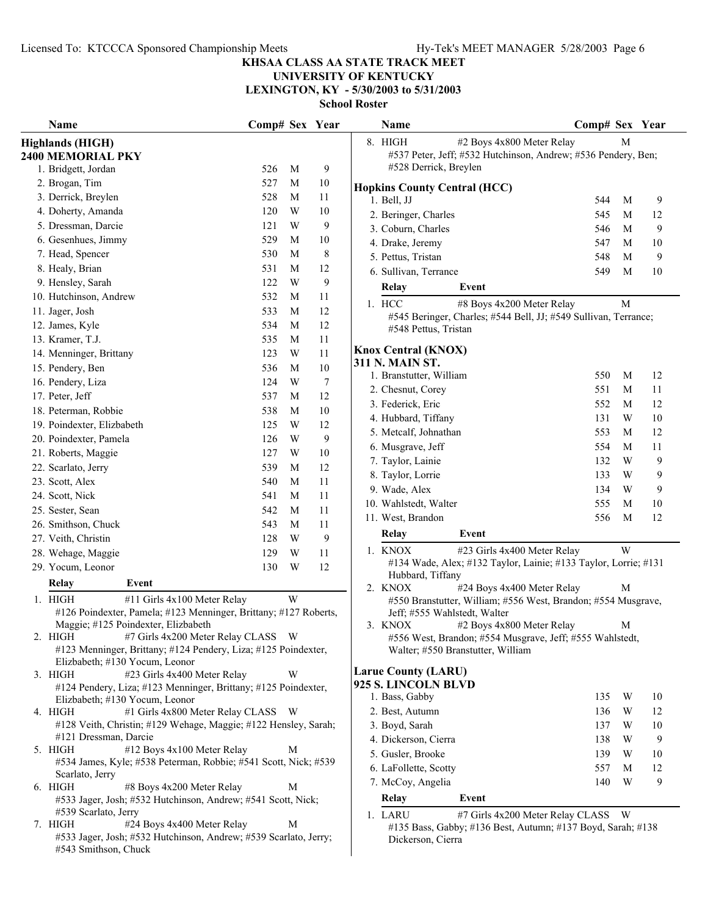## **UNIVERSITY OF KENTUCKY**

**LEXINGTON, KY - 5/30/2003 to 5/31/2003**

| <b>Name</b>                                                                                                                                               | Comp# Sex Year |   |        | Name<br>Comp# Sex Year                                                                                                                |        |         |
|-----------------------------------------------------------------------------------------------------------------------------------------------------------|----------------|---|--------|---------------------------------------------------------------------------------------------------------------------------------------|--------|---------|
| <b>Highlands (HIGH)</b><br><b>2400 MEMORIAL PKY</b>                                                                                                       |                |   |        | 8. HIGH<br>#2 Boys 4x800 Meter Relay<br>#537 Peter, Jeff; #532 Hutchinson, Andrew; #536 Pendery, Ben;                                 | M      |         |
| 1. Bridgett, Jordan                                                                                                                                       | 526            | M | 9      | #528 Derrick, Breylen                                                                                                                 |        |         |
| 2. Brogan, Tim                                                                                                                                            | 527            | M | 10     | <b>Hopkins County Central (HCC)</b>                                                                                                   |        |         |
| 3. Derrick, Breylen                                                                                                                                       | 528            | M | 11     | 1. Bell, JJ<br>544                                                                                                                    | M      | 9       |
| 4. Doherty, Amanda                                                                                                                                        | 120            | W | 10     | 2. Beringer, Charles<br>545                                                                                                           | М      | 12      |
| 5. Dressman, Darcie                                                                                                                                       | 121            | W | 9      | 3. Coburn, Charles<br>546                                                                                                             | M      | 9       |
| 6. Gesenhues, Jimmy                                                                                                                                       | 529            | M | 10     | 4. Drake, Jeremy<br>547                                                                                                               | M      | 10      |
| 7. Head, Spencer                                                                                                                                          | 530            | M | 8      | 5. Pettus, Tristan<br>548                                                                                                             | M      | 9       |
| 8. Healy, Brian                                                                                                                                           | 531            | M | 12     | 549<br>6. Sullivan, Terrance                                                                                                          | M      | 10      |
| 9. Hensley, Sarah                                                                                                                                         | 122            | W | 9      | Relay<br>Event                                                                                                                        |        |         |
| 10. Hutchinson, Andrew                                                                                                                                    | 532            | M | 11     |                                                                                                                                       |        |         |
| 11. Jager, Josh                                                                                                                                           | 533            | M | 12     | 1. HCC<br>#8 Boys 4x200 Meter Relay                                                                                                   | M      |         |
| 12. James, Kyle                                                                                                                                           | 534            | M | 12     | #545 Beringer, Charles; #544 Bell, JJ; #549 Sullivan, Terrance;<br>#548 Pettus, Tristan                                               |        |         |
| 13. Kramer, T.J.                                                                                                                                          | 535            | М | 11     |                                                                                                                                       |        |         |
| 14. Menninger, Brittany                                                                                                                                   | 123            | W | 11     | <b>Knox Central (KNOX)</b>                                                                                                            |        |         |
| 15. Pendery, Ben                                                                                                                                          | 536            | M | 10     | <b>311 N. MAIN ST.</b>                                                                                                                |        |         |
| 16. Pendery, Liza                                                                                                                                         | 124            | W | $\tau$ | 1. Branstutter, William<br>550                                                                                                        | M      | 12      |
| 17. Peter, Jeff                                                                                                                                           | 537            | М | 12     | 2. Chesnut, Corey<br>551                                                                                                              | M      | 11      |
| 18. Peterman, Robbie                                                                                                                                      | 538            | M | 10     | 3. Federick, Eric<br>552                                                                                                              | M      | 12      |
| 19. Poindexter, Elizbabeth                                                                                                                                | 125            | W | 12     | 4. Hubbard, Tiffany<br>131                                                                                                            | W      | 10      |
| 20. Poindexter, Pamela                                                                                                                                    | 126            | W | 9      | 5. Metcalf, Johnathan<br>553                                                                                                          | М      | 12      |
| 21. Roberts, Maggie                                                                                                                                       | 127            | W | 10     | 6. Musgrave, Jeff<br>554                                                                                                              | M      | 11      |
| 22. Scarlato, Jerry                                                                                                                                       | 539            | М | 12     | 132<br>7. Taylor, Lainie                                                                                                              | W      | 9       |
|                                                                                                                                                           |                |   |        | 8. Taylor, Lorrie<br>133                                                                                                              | W      | 9       |
| 23. Scott, Alex                                                                                                                                           | 540            | M | 11     | 9. Wade, Alex<br>134                                                                                                                  | W      | 9       |
| 24. Scott, Nick                                                                                                                                           | 541            | M | 11     | 10. Wahlstedt, Walter<br>555                                                                                                          | M      | 10      |
| 25. Sester, Sean                                                                                                                                          | 542            | M | 11     | 11. West, Brandon<br>556                                                                                                              | M      | 12      |
| 26. Smithson, Chuck                                                                                                                                       | 543            | M | 11     | Relay<br>Event                                                                                                                        |        |         |
| 27. Veith, Christin                                                                                                                                       | 128            | W | 9      | #23 Girls 4x400 Meter Relay<br>1. KNOX                                                                                                | W      |         |
| 28. Wehage, Maggie                                                                                                                                        | 129            | W | 11     | #134 Wade, Alex; #132 Taylor, Lainie; #133 Taylor, Lorrie; #131                                                                       |        |         |
| 29. Yocum, Leonor                                                                                                                                         | 130            | W | 12     | Hubbard, Tiffany                                                                                                                      |        |         |
| Relay<br>Event                                                                                                                                            |                |   |        | 2. KNOX<br>#24 Boys 4x400 Meter Relay                                                                                                 | М      |         |
| $1.$ HIGH<br>#11 Girls 4x100 Meter Relay<br>#126 Poindexter, Pamela; #123 Menninger, Brittany; #127 Roberts,<br>Maggie; #125 Poindexter, Elizbabeth       |                | W |        | #550 Branstutter, William; #556 West, Brandon; #554 Musgrave,<br>Jeff; #555 Wahlstedt, Walter                                         |        |         |
| 2. HIGH #7 Girls 4x200 Meter Relay CLASS W<br>#123 Menninger, Brittany; #124 Pendery, Liza; #125 Poindexter,<br>Elizbabeth; #130 Yocum, Leonor            |                |   |        | 3. KNOX<br>#2 Boys 4x800 Meter Relay<br>#556 West, Brandon; #554 Musgrave, Jeff; #555 Wahlstedt,<br>Walter; #550 Branstutter, William | M      |         |
| #23 Girls 4x400 Meter Relay<br>3. HIGH                                                                                                                    |                | W |        | <b>Larue County (LARU)</b>                                                                                                            |        |         |
| #124 Pendery, Liza; #123 Menninger, Brittany; #125 Poindexter,<br>Elizbabeth; #130 Yocum, Leonor                                                          |                |   |        | 925 S. LINCOLN BLVD<br>1. Bass, Gabby<br>135                                                                                          | W      | 10      |
| #1 Girls 4x800 Meter Relay CLASS W<br>4. HIGH                                                                                                             |                |   |        | 2. Best, Autumn<br>136                                                                                                                | W      | 12      |
| #128 Veith, Christin; #129 Wehage, Maggie; #122 Hensley, Sarah;<br>#121 Dressman, Darcie                                                                  |                |   |        | 3. Boyd, Sarah<br>137<br>4. Dickerson, Cierra<br>138                                                                                  | W<br>W | 10<br>9 |
| #12 Boys 4x100 Meter Relay<br>5. HIGH                                                                                                                     |                | M |        | 5. Gusler, Brooke<br>139                                                                                                              | W      | 10      |
| #534 James, Kyle; #538 Peterman, Robbie; #541 Scott, Nick; #539                                                                                           |                |   |        | 6. LaFollette, Scotty<br>557                                                                                                          | M      | 12      |
| Scarlato, Jerry                                                                                                                                           |                |   |        |                                                                                                                                       |        |         |
| 6. HIGH<br>#8 Boys 4x200 Meter Relay                                                                                                                      |                | M |        | 7. McCoy, Angelia<br>140                                                                                                              | W      | 9       |
| #533 Jager, Josh; #532 Hutchinson, Andrew; #541 Scott, Nick;                                                                                              |                |   |        | <b>Relay</b><br>Event                                                                                                                 |        |         |
| #539 Scarlato, Jerry<br>#24 Boys 4x400 Meter Relay<br>7. HIGH<br>#533 Jager, Josh; #532 Hutchinson, Andrew; #539 Scarlato, Jerry;<br>#543 Smithson, Chuck |                | M |        | 1. LARU<br>#7 Girls 4x200 Meter Relay CLASS W<br>#135 Bass, Gabby; #136 Best, Autumn; #137 Boyd, Sarah; #138<br>Dickerson, Cierra     |        |         |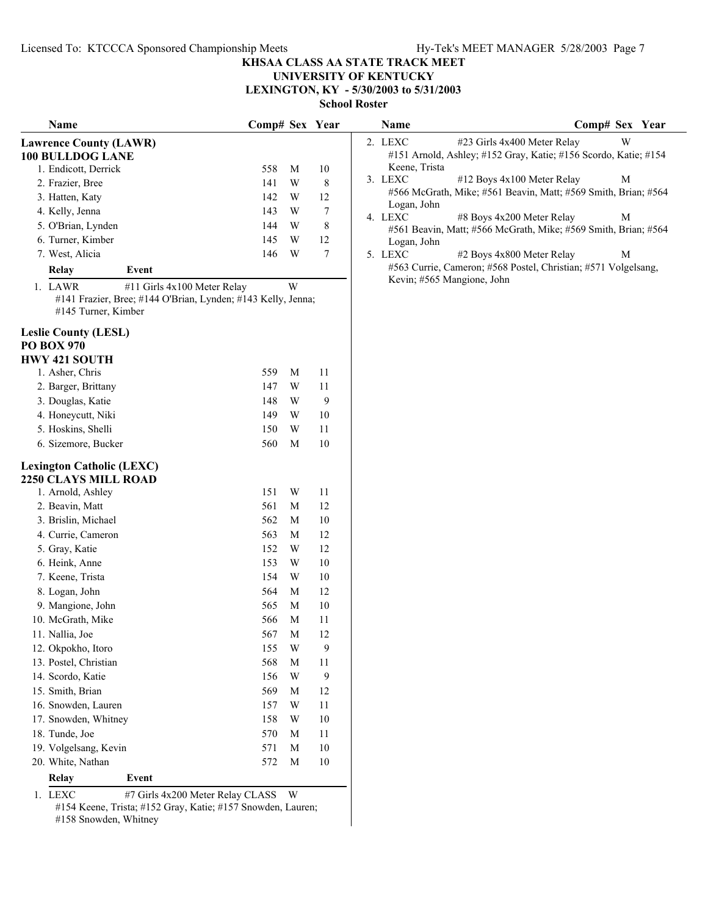## **UNIVERSITY OF KENTUCKY**

**LEXINGTON, KY - 5/30/2003 to 5/31/2003**

**School Roster**

| Name                                      | Comp# Sex Year                                               |   |                  | Name                   | Comp# Sex Year                                                  |
|-------------------------------------------|--------------------------------------------------------------|---|------------------|------------------------|-----------------------------------------------------------------|
| <b>Lawrence County (LAWR)</b>             |                                                              |   |                  | 2. LEXC                | W<br>#23 Girls 4x400 Meter Relay                                |
| <b>100 BULLDOG LANE</b>                   |                                                              |   |                  |                        | #151 Arnold, Ashley; #152 Gray, Katie; #156 Scordo, Katie; #154 |
| 1. Endicott, Derrick                      | 558                                                          | M | 10               | Keene, Trista          |                                                                 |
| 2. Frazier, Bree                          | 141                                                          | W | $\,8\,$          | 3. LEXC                | #12 Boys 4x100 Meter Relay<br>M                                 |
| 3. Hatten, Katy                           | 142                                                          | W | 12               |                        | #566 McGrath, Mike; #561 Beavin, Matt; #569 Smith, Brian; #564  |
| 4. Kelly, Jenna                           | 143                                                          | W | $\tau$           | Logan, John<br>4. LEXC | #8 Boys 4x200 Meter Relay<br>M                                  |
| 5. O'Brian, Lynden                        | 144                                                          | W | $\,8\,$          |                        | #561 Beavin, Matt; #566 McGrath, Mike; #569 Smith, Brian; #564  |
| 6. Turner, Kimber                         | 145                                                          | W | 12               | Logan, John            |                                                                 |
| 7. West, Alicia                           | 146                                                          | W | $\tau$           | 5. LEXC                | #2 Boys 4x800 Meter Relay<br>М                                  |
| <b>Relay</b><br>Event                     |                                                              |   |                  |                        | #563 Currie, Cameron; #568 Postel, Christian; #571 Volgelsang,  |
| 1. LAWR                                   | #11 Girls 4x100 Meter Relay                                  | W |                  |                        | Kevin; #565 Mangione, John                                      |
| #145 Turner, Kimber                       | #141 Frazier, Bree; #144 O'Brian, Lynden; #143 Kelly, Jenna; |   |                  |                        |                                                                 |
| <b>Leslie County (LESL)</b>               |                                                              |   |                  |                        |                                                                 |
| <b>PO BOX 970</b>                         |                                                              |   |                  |                        |                                                                 |
| <b>HWY 421 SOUTH</b><br>1. Asher, Chris   | 559                                                          | M | 11               |                        |                                                                 |
|                                           |                                                              | W | 11               |                        |                                                                 |
| 2. Barger, Brittany                       | 147<br>148                                                   | W | 9                |                        |                                                                 |
| 3. Douglas, Katie<br>4. Honeycutt, Niki   | 149                                                          | W | 10               |                        |                                                                 |
| 5. Hoskins, Shelli                        |                                                              | W | 11               |                        |                                                                 |
| 6. Sizemore, Bucker                       | 150                                                          | M | $10\,$           |                        |                                                                 |
|                                           | 560                                                          |   |                  |                        |                                                                 |
| <b>Lexington Catholic (LEXC)</b>          |                                                              |   |                  |                        |                                                                 |
| 2250 CLAYS MILL ROAD<br>1. Arnold, Ashley | 151                                                          | W | 11               |                        |                                                                 |
| 2. Beavin, Matt                           | 561                                                          | M | 12               |                        |                                                                 |
| 3. Brislin, Michael                       | 562                                                          | M | $10\,$           |                        |                                                                 |
| 4. Currie, Cameron                        | 563                                                          | M | 12               |                        |                                                                 |
| 5. Gray, Katie                            | 152                                                          | W | 12               |                        |                                                                 |
| 6. Heink, Anne                            | 153                                                          | W | 10               |                        |                                                                 |
| 7. Keene, Trista                          | 154                                                          | W | 10               |                        |                                                                 |
| 8. Logan, John                            | 564                                                          | M | 12               |                        |                                                                 |
| 9. Mangione, John                         | 565                                                          | M | 10               |                        |                                                                 |
| 10. McGrath, Mike                         | 566                                                          | M | 11               |                        |                                                                 |
| 11. Nallia, Joe                           | 567                                                          | M | 12               |                        |                                                                 |
| 12. Okpokho, Itoro                        | 155                                                          | W | 9                |                        |                                                                 |
| 13. Postel, Christian                     | 568                                                          | M | 11               |                        |                                                                 |
| 14. Scordo, Katie                         | 156                                                          | W | $\boldsymbol{9}$ |                        |                                                                 |
| 15. Smith, Brian                          | 569                                                          | M | 12               |                        |                                                                 |
| 16. Snowden, Lauren                       | 157                                                          | W | 11               |                        |                                                                 |
| 17. Snowden, Whitney                      | 158                                                          | W | 10               |                        |                                                                 |
| 18. Tunde, Joe                            | 570                                                          | M | 11               |                        |                                                                 |
| 19. Volgelsang, Kevin                     | 571                                                          | M | $10\,$           |                        |                                                                 |
| 20. White, Nathan                         | 572                                                          | M | $10\,$           |                        |                                                                 |
| Relay<br>Event                            |                                                              |   |                  |                        |                                                                 |
| 1. LEXC                                   | #7 Girls 4x200 Meter Relay CLASS W                           |   |                  |                        |                                                                 |
|                                           |                                                              |   |                  |                        |                                                                 |

#154 Keene, Trista; #152 Gray, Katie; #157 Snowden, Lauren; #158 Snowden, Whitney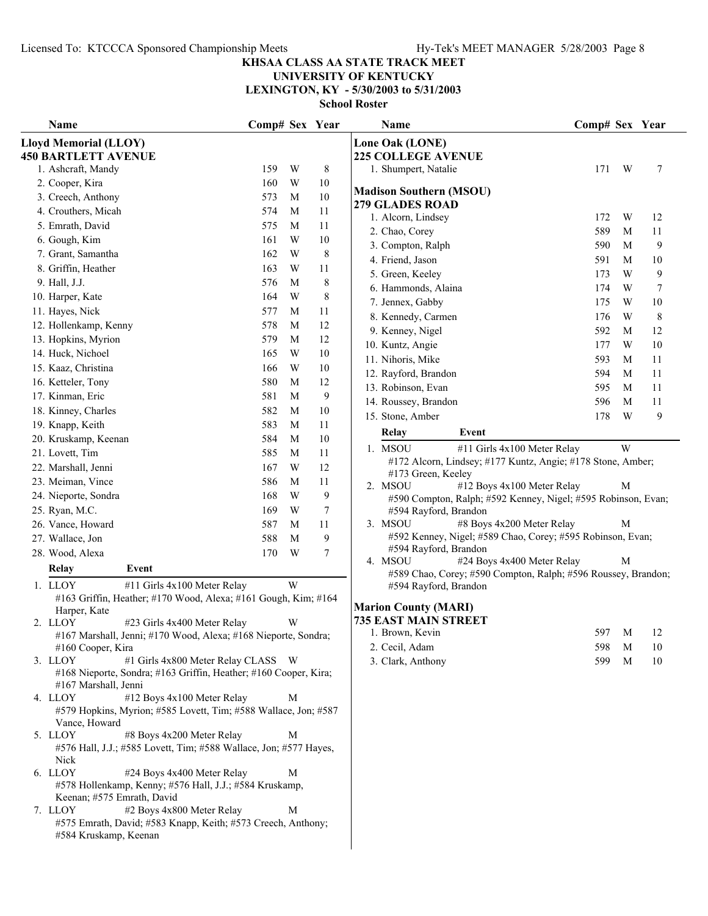## **UNIVERSITY OF KENTUCKY**

**LEXINGTON, KY - 5/30/2003 to 5/31/2003**

| Name                                                                                                                                      | Comp# Sex Year |   |         | Name                                                                                   | Comp# Sex Year |       |     |
|-------------------------------------------------------------------------------------------------------------------------------------------|----------------|---|---------|----------------------------------------------------------------------------------------|----------------|-------|-----|
| <b>Lloyd Memorial (LLOY)</b><br><b>450 BARTLETT AVENUE</b>                                                                                |                |   |         | Lone Oak (LONE)<br><b>225 COLLEGE AVENUE</b>                                           |                |       |     |
| 1. Ashcraft, Mandy                                                                                                                        | 159            | W | 8       | 1. Shumpert, Natalie                                                                   | 171            | W     | 7   |
| 2. Cooper, Kira                                                                                                                           | 160            | W | 10      |                                                                                        |                |       |     |
| 3. Creech, Anthony                                                                                                                        | 573            | M | 10      | <b>Madison Southern (MSOU)</b>                                                         |                |       |     |
| 4. Crouthers, Micah                                                                                                                       | 574            | M | 11      | <b>279 GLADES ROAD</b><br>1. Alcorn, Lindsey                                           | 172            | W     | 12  |
| 5. Emrath, David                                                                                                                          | 575            | M | 11      | 2. Chao, Corey                                                                         | 589            | M     | 11  |
| 6. Gough, Kim                                                                                                                             | 161            | W | 10      | 3. Compton, Ralph                                                                      | 590            | M     | 9   |
| 7. Grant, Samantha                                                                                                                        | 162            | W | $\,8\,$ | 4. Friend, Jason                                                                       | 591            | M     | 10  |
| 8. Griffin, Heather                                                                                                                       | 163            | W | 11      | 5. Green, Keeley                                                                       | 173            | W     | 9   |
| 9. Hall, J.J.                                                                                                                             | 576            | M | $\,8\,$ | 6. Hammonds, Alaina                                                                    | 174            | W     | 7   |
| 10. Harper, Kate                                                                                                                          | 164            | W | 8       | 7. Jennex, Gabby                                                                       | 175            | W     | 10  |
| 11. Hayes, Nick                                                                                                                           | 577            | M | 11      | 8. Kennedy, Carmen                                                                     | 176            | W     | 8   |
| 12. Hollenkamp, Kenny                                                                                                                     | 578            | M | 12      | 9. Kenney, Nigel                                                                       | 592            | M     | 12  |
| 13. Hopkins, Myrion                                                                                                                       | 579            | M | 12      | 10. Kuntz, Angie                                                                       | 177            | W     | 10  |
| 14. Huck, Nichoel                                                                                                                         | 165            | W | 10      | 11. Nihoris, Mike                                                                      | 593            | M     | 11  |
| 15. Kaaz, Christina                                                                                                                       | 166            | W | 10      | 12. Rayford, Brandon                                                                   | 594            | M     | 11  |
| 16. Ketteler, Tony                                                                                                                        | 580            | M | 12      | 13. Robinson, Evan                                                                     | 595            | M     | 11  |
| 17. Kinman, Eric                                                                                                                          | 581            | M | 9       | 14. Roussey, Brandon                                                                   | 596            | M     | 11  |
| 18. Kinney, Charles                                                                                                                       | 582            | M | 10      | 15. Stone, Amber                                                                       | 178            | W     | 9   |
| 19. Knapp, Keith                                                                                                                          | 583            | M | 11      |                                                                                        |                |       |     |
| 20. Kruskamp, Keenan                                                                                                                      | 584            | M | 10      | Relay<br>Event                                                                         |                |       |     |
| 21. Lovett, Tim                                                                                                                           | 585            | M | 11      | 1. MSOU<br>#11 Girls 4x100 Meter Relay                                                 |                | W     |     |
| 22. Marshall, Jenni                                                                                                                       | 167            | W | 12      | #172 Alcorn, Lindsey; #177 Kuntz, Angie; #178 Stone, Amber;                            |                |       |     |
| 23. Meiman, Vince                                                                                                                         | 586            | M | 11      | #173 Green, Keeley<br>2. MSOU<br>#12 Boys 4x100 Meter Relay                            |                | M     |     |
| 24. Nieporte, Sondra                                                                                                                      | 168            | W | 9       | #590 Compton, Ralph; #592 Kenney, Nigel; #595 Robinson, Evan;                          |                |       |     |
| 25. Ryan, M.C.                                                                                                                            | 169            | W | 7       | #594 Rayford, Brandon                                                                  |                |       |     |
| 26. Vance, Howard                                                                                                                         | 587            | M | 11      | 3. MSOU<br>#8 Boys 4x200 Meter Relay                                                   |                | M     |     |
| 27. Wallace, Jon                                                                                                                          | 588            | M | 9       | #592 Kenney, Nigel; #589 Chao, Corey; #595 Robinson, Evan;                             |                |       |     |
| 28. Wood, Alexa                                                                                                                           | 170            | W | 7       | #594 Rayford, Brandon                                                                  |                |       |     |
| Relay<br>Event                                                                                                                            |                |   |         | 4. MSOU<br>#24 Boys 4x400 Meter Relay                                                  |                | M     |     |
| 1. LLOY<br>#11 Girls 4x100 Meter Relay                                                                                                    |                | W |         | #589 Chao, Corey; #590 Compton, Ralph; #596 Roussey, Brandon;<br>#594 Rayford, Brandon |                |       |     |
| #163 Griffin, Heather; #170 Wood, Alexa; #161 Gough, Kim; #164                                                                            |                |   |         |                                                                                        |                |       |     |
| Harper, Kate                                                                                                                              |                |   |         | <b>Marion County (MARI)</b>                                                            |                |       |     |
| 2. LLOY<br>#23 Girls 4x400 Meter Relay                                                                                                    |                | W |         | <b>735 EAST MAIN STREET</b>                                                            |                |       |     |
| #167 Marshall, Jenni; #170 Wood, Alexa; #168 Nieporte, Sondra;                                                                            |                |   |         | 1. Brown, Kevin                                                                        |                | 597 M | -12 |
| $#160$ Cooper, Kira                                                                                                                       |                |   |         | 2. Cecil, Adam                                                                         | 598            | M     | 10  |
| 3. LLOY<br>#1 Girls 4x800 Meter Relay CLASS W<br>#168 Nieporte, Sondra; #163 Griffin, Heather; #160 Cooper, Kira;<br>#167 Marshall, Jenni |                |   |         | 3. Clark, Anthony                                                                      | 599            | M     | 10  |
| 4. LLOY<br>#12 Boys 4x100 Meter Relay<br>#579 Hopkins, Myrion; #585 Lovett, Tim; #588 Wallace, Jon; #587                                  |                | M |         |                                                                                        |                |       |     |
| Vance, Howard                                                                                                                             |                |   |         |                                                                                        |                |       |     |
| #8 Boys 4x200 Meter Relay<br>5. LLOY<br>#576 Hall, J.J.; #585 Lovett, Tim; #588 Wallace, Jon; #577 Hayes,                                 |                | M |         |                                                                                        |                |       |     |
| Nick<br>6. LLOY<br>#24 Boys 4x400 Meter Relay<br>#578 Hollenkamp, Kenny; #576 Hall, J.J.; #584 Kruskamp,                                  |                | M |         |                                                                                        |                |       |     |
| Keenan; #575 Emrath, David<br>7. LLOY<br>#2 Boys 4x800 Meter Relay<br>#575 Emrath, David; #583 Knapp, Keith; #573 Creech, Anthony;        |                | M |         |                                                                                        |                |       |     |
| #584 Kruskamp, Keenan                                                                                                                     |                |   |         |                                                                                        |                |       |     |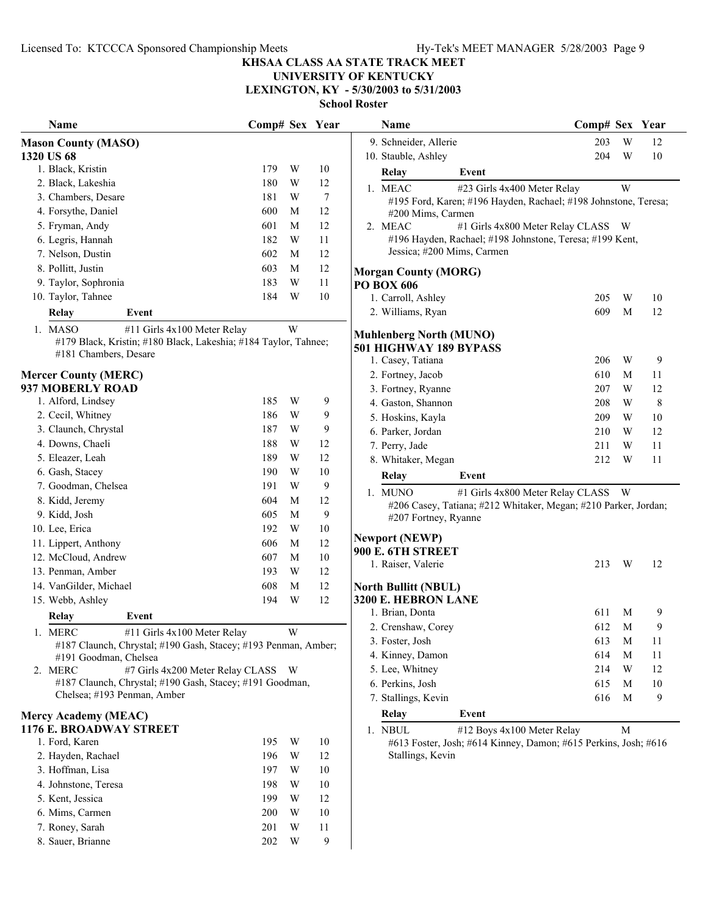# **UNIVERSITY OF KENTUCKY**

**LEXINGTON, KY - 5/30/2003 to 5/31/2003 School Roster**

| Name                                                                                    | Comp# Sex Year |   |                  | Name                                                            | Comp# Sex Year |   |    |
|-----------------------------------------------------------------------------------------|----------------|---|------------------|-----------------------------------------------------------------|----------------|---|----|
| <b>Mason County (MASO)</b>                                                              |                |   |                  | 9. Schneider, Allerie                                           | 203            | W | 12 |
| 1320 US 68                                                                              |                |   |                  | 10. Stauble, Ashley                                             | 204            | W | 10 |
| 1. Black, Kristin                                                                       | 179            | W | $10\,$           | Relay<br>Event                                                  |                |   |    |
| 2. Black, Lakeshia                                                                      | 180            | W | 12               | 1. MEAC<br>#23 Girls 4x400 Meter Relay                          |                | W |    |
| 3. Chambers, Desare                                                                     | 181            | W | $\overline{7}$   | #195 Ford, Karen; #196 Hayden, Rachael; #198 Johnstone, Teresa  |                |   |    |
| 4. Forsythe, Daniel                                                                     | 600            | M | 12               | #200 Mims, Carmen                                               |                |   |    |
| 5. Fryman, Andy                                                                         | 601            | M | 12               | #1 Girls 4x800 Meter Relay CLASS W<br>2. MEAC                   |                |   |    |
| 6. Legris, Hannah                                                                       | 182            | W | 11               | #196 Hayden, Rachael; #198 Johnstone, Teresa; #199 Kent,        |                |   |    |
| 7. Nelson, Dustin                                                                       | 602            | M | 12               | Jessica; #200 Mims, Carmen                                      |                |   |    |
| 8. Pollitt, Justin                                                                      | 603            | M | 12               | <b>Morgan County (MORG)</b>                                     |                |   |    |
| 9. Taylor, Sophronia                                                                    | 183            | W | 11               | PO BOX 606                                                      |                |   |    |
| 10. Taylor, Tahnee                                                                      | 184            | W | 10               | 1. Carroll, Ashley                                              | 205            | W | 10 |
| Relay<br>Event                                                                          |                |   |                  | 2. Williams, Ryan                                               | 609            | M | 12 |
| 1. MASO<br>#11 Girls 4x100 Meter Relay                                                  |                | W |                  |                                                                 |                |   |    |
| #179 Black, Kristin; #180 Black, Lakeshia; #184 Taylor, Tahnee;                         |                |   |                  | <b>Muhlenberg North (MUNO)</b>                                  |                |   |    |
| #181 Chambers, Desare                                                                   |                |   |                  | 501 HIGHWAY 189 BYPASS                                          | 206            | W |    |
|                                                                                         |                |   |                  | 1. Casey, Tatiana                                               |                |   | 9  |
| <b>Mercer County (MERC)</b><br>937 MOBERLY ROAD                                         |                |   |                  | 2. Fortney, Jacob                                               | 610            | M | 11 |
| 1. Alford, Lindsey                                                                      | 185            | W | 9                | 3. Fortney, Ryanne                                              | 207            | W | 12 |
| 2. Cecil, Whitney                                                                       | 186            | W | 9                | 4. Gaston, Shannon                                              | 208            | W | 8  |
| 3. Claunch, Chrystal                                                                    | 187            | W | 9                | 5. Hoskins, Kayla                                               | 209            | W | 10 |
| 4. Downs, Chaeli                                                                        | 188            | W | 12               | 6. Parker, Jordan                                               | 210            | W | 12 |
| 5. Eleazer, Leah                                                                        | 189            | W | 12               | 7. Perry, Jade                                                  | 211            | W | 11 |
| 6. Gash, Stacey                                                                         | 190            | W | 10               | 8. Whitaker, Megan                                              | 212            | W | 11 |
|                                                                                         |                |   |                  | <b>Relay</b><br>Event                                           |                |   |    |
| 7. Goodman, Chelsea                                                                     | 191            | W | 9                | 1. MUNO<br>#1 Girls 4x800 Meter Relay CLASS W                   |                |   |    |
| 8. Kidd, Jeremy                                                                         | 604            | М | 12               | #206 Casey, Tatiana; #212 Whitaker, Megan; #210 Parker, Jordan  |                |   |    |
| 9. Kidd, Josh                                                                           | 605            | M | $\boldsymbol{9}$ | #207 Fortney, Ryanne                                            |                |   |    |
| 10. Lee, Erica                                                                          | 192            | W | 10               | <b>Newport (NEWP)</b>                                           |                |   |    |
| 11. Lippert, Anthony                                                                    | 606            | M | 12               | 900 E. 6TH STREET                                               |                |   |    |
| 12. McCloud, Andrew                                                                     | 607            | M | 10               | 1. Raiser, Valerie                                              | 213            | W | 12 |
| 13. Penman, Amber                                                                       | 193            | W | 12               |                                                                 |                |   |    |
| 14. VanGilder, Michael                                                                  | 608            | M | 12               | <b>North Bullitt (NBUL)</b>                                     |                |   |    |
| 15. Webb, Ashley                                                                        | 194            | W | 12               | 3200 E. HEBRON LANE                                             |                |   |    |
| Event<br><b>Relay</b>                                                                   |                |   |                  | 1. Brian, Donta                                                 | 611            | M | 9  |
| 1. MERC<br>#11 Girls 4x100 Meter Relay                                                  |                | W |                  | 2. Crenshaw, Corey                                              | 612            | M | 9  |
| #187 Claunch, Chrystal; #190 Gash, Stacey; #193 Penman, Amber;                          |                |   |                  | 3. Foster, Josh                                                 | 613            | M | 11 |
| #191 Goodman, Chelsea                                                                   |                |   |                  | 4. Kinney, Damon                                                | 614            | M | 11 |
| 2. MERC<br>#7 Girls 4x200 Meter Relay CLASS W                                           |                |   |                  | 5. Lee, Whitney                                                 | 214            | W | 12 |
| #187 Claunch, Chrystal; #190 Gash, Stacey; #191 Goodman,<br>Chelsea; #193 Penman, Amber |                |   |                  | 6. Perkins, Josh                                                | 615            | M | 10 |
|                                                                                         |                |   |                  | 7. Stallings, Kevin                                             | 616            | M | 9  |
| <b>Mercy Academy (MEAC)</b>                                                             |                |   |                  | Relay<br>Event                                                  |                |   |    |
| 1176 E. BROADWAY STREET                                                                 |                |   |                  | #12 Boys 4x100 Meter Relay<br>1. NBUL                           |                | M |    |
| 1. Ford, Karen                                                                          | 195            | W | 10               | #613 Foster, Josh; #614 Kinney, Damon; #615 Perkins, Josh; #616 |                |   |    |
| 2. Hayden, Rachael                                                                      | 196            | W | 12               | Stallings, Kevin                                                |                |   |    |
| 3. Hoffman, Lisa                                                                        | 197            | W | 10               |                                                                 |                |   |    |
| 4. Johnstone, Teresa                                                                    | 198            | W | 10               |                                                                 |                |   |    |
| 5. Kent, Jessica                                                                        | 199            | W | 12               |                                                                 |                |   |    |
| 6. Mims, Carmen                                                                         | 200            | W | 10               |                                                                 |                |   |    |
| 7. Roney, Sarah                                                                         | 201            | W | 11               |                                                                 |                |   |    |
| 8. Sauer, Brianne                                                                       | 202            | W | 9                |                                                                 |                |   |    |

| Name                                                      |                                                                                                     | Comp# Sex |   | Year |
|-----------------------------------------------------------|-----------------------------------------------------------------------------------------------------|-----------|---|------|
| 9. Schneider, Allerie                                     |                                                                                                     | 203       | W | 12   |
| 10. Stauble, Ashley                                       |                                                                                                     | 204       | W | 10   |
| Relay                                                     | Event                                                                                               |           |   |      |
| 1. MEAC                                                   | #23 Girls 4x400 Meter Relay                                                                         |           | W |      |
| #200 Mims, Carmen                                         | #195 Ford, Karen; #196 Hayden, Rachael; #198 Johnstone, Teresa;                                     |           |   |      |
| 2. MEAC<br>Jessica; #200 Mims, Carmen                     | #1 Girls 4x800 Meter Relay CLASS<br>#196 Hayden, Rachael; #198 Johnstone, Teresa; #199 Kent,        |           | W |      |
| <b>Morgan County (MORG)</b>                               |                                                                                                     |           |   |      |
| PO BOX 606                                                |                                                                                                     |           |   |      |
| 1. Carroll, Ashley                                        |                                                                                                     | 205       | W | 10   |
| 2. Williams, Ryan                                         |                                                                                                     | 609       | М | 12   |
| <b>Muhlenberg North (MUNO)</b><br>501 HIGHWAY 189 BYPASS  |                                                                                                     |           |   |      |
| 1. Casey, Tatiana                                         |                                                                                                     | 206       | W | 9    |
| 2. Fortney, Jacob                                         |                                                                                                     | 610       | М | 11   |
| 3. Fortney, Ryanne                                        |                                                                                                     | 207       | W | 12   |
| 4. Gaston, Shannon                                        |                                                                                                     | 208       | W | 8    |
| 5. Hoskins, Kayla                                         |                                                                                                     | 209       | W | 10   |
| 6. Parker, Jordan                                         |                                                                                                     | 210       | W | 12   |
| 7. Perry, Jade                                            |                                                                                                     | 211       | W | 11   |
| 8. Whitaker, Megan                                        |                                                                                                     | 212       | W | 11   |
| Relay                                                     | Event                                                                                               |           |   |      |
| 1. MUNO<br>#207 Fortney, Ryanne                           | #1 Girls 4x800 Meter Relay CLASS<br>#206 Casey, Tatiana; #212 Whitaker, Megan; #210 Parker, Jordan; |           | W |      |
| <b>Newport (NEWP)</b><br>900 E. 6TH STREET                |                                                                                                     |           |   |      |
| 1. Raiser, Valerie                                        |                                                                                                     | 213       | W | 12   |
| <b>North Bullitt (NBUL)</b><br><b>3200 E. HEBRON LANE</b> |                                                                                                     |           |   |      |
| 1. Brian, Donta                                           |                                                                                                     | 611       | М | 9    |
| 2. Crenshaw, Corey                                        |                                                                                                     | 612       | М | 9    |
| 3. Foster, Josh                                           |                                                                                                     | 613       | М | 11   |
| 4. Kinney, Damon                                          |                                                                                                     | 614       | M | 11   |
| 5. Lee, Whitney                                           |                                                                                                     | 214       | W | 12   |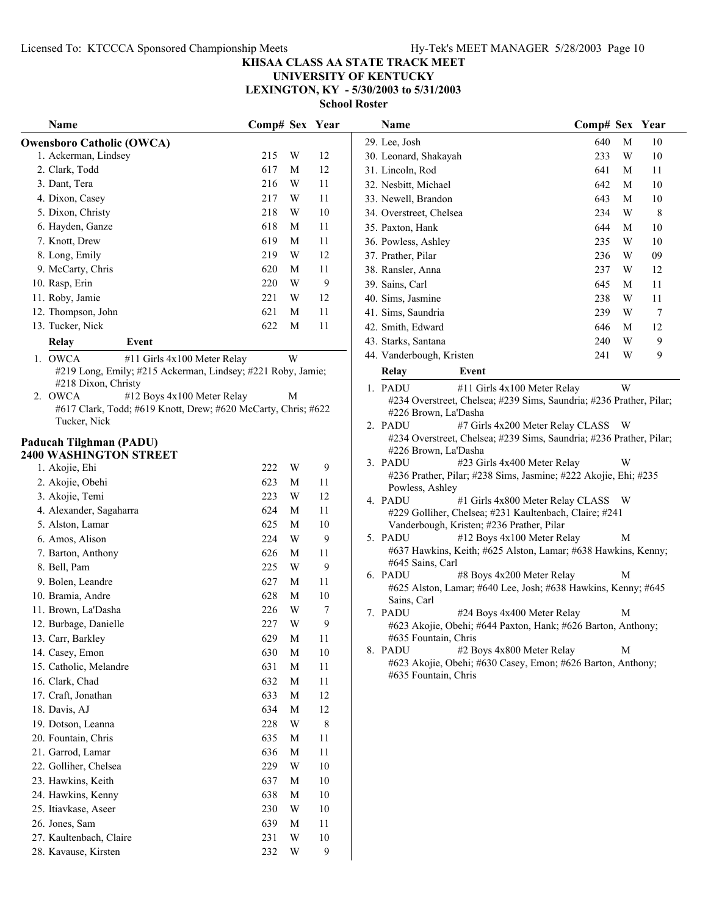**UNIVERSITY OF KENTUCKY LEXINGTON, KY - 5/30/2003 to 5/31/2003**

| Name                                                          | Comp# Sex Year |                         |        | Name                                                                                                          | Comp# Sex Year |   |                |
|---------------------------------------------------------------|----------------|-------------------------|--------|---------------------------------------------------------------------------------------------------------------|----------------|---|----------------|
| <b>Owensboro Catholic (OWCA)</b>                              |                |                         |        | 29. Lee, Josh                                                                                                 | 640            | M | 10             |
| 1. Ackerman, Lindsey                                          | 215            | W                       | 12     | 30. Leonard, Shakayah                                                                                         | 233            | W | $10\,$         |
| 2. Clark, Todd                                                | 617            | M                       | 12     | 31. Lincoln, Rod                                                                                              | 641            | M | 11             |
| 3. Dant, Tera                                                 | 216            | W                       | 11     | 32. Nesbitt, Michael                                                                                          | 642            | M | 10             |
| 4. Dixon, Casey                                               | 217            | W                       | 11     | 33. Newell, Brandon                                                                                           | 643            | M | 10             |
| 5. Dixon, Christy                                             | 218            | W                       | 10     | 34. Overstreet, Chelsea                                                                                       | 234            | W | 8              |
| 6. Hayden, Ganze                                              | 618            | M                       | 11     | 35. Paxton, Hank                                                                                              | 644            | M | 10             |
| 7. Knott, Drew                                                | 619            | M                       | 11     | 36. Powless, Ashley                                                                                           | 235            | W | 10             |
| 8. Long, Emily                                                | 219            | W                       | 12     | 37. Prather, Pilar                                                                                            | 236            | W | 09             |
| 9. McCarty, Chris                                             | 620            | М                       | 11     | 38. Ransler, Anna                                                                                             | 237            | W | 12             |
| 10. Rasp, Erin                                                | 220            | W                       | 9      | 39. Sains, Carl                                                                                               | 645            | M | 11             |
| 11. Roby, Jamie                                               | 221            | W                       | 12     | 40. Sims, Jasmine                                                                                             | 238            | W | 11             |
| 12. Thompson, John                                            | 621            | М                       | 11     | 41. Sims, Saundria                                                                                            | 239            | W | $\overline{7}$ |
| 13. Tucker, Nick                                              | 622            | M                       | 11     | 42. Smith, Edward                                                                                             | 646            | M | 12             |
| Relay<br>Event                                                |                |                         |        | 43. Starks, Santana                                                                                           | 240            | W | 9              |
| 1. OWCA<br>#11 Girls 4x100 Meter Relay                        |                | W                       |        | 44. Vanderbough, Kristen                                                                                      | 241            | W | 9              |
| #219 Long, Emily; #215 Ackerman, Lindsey; #221 Roby, Jamie;   |                |                         |        | Relay<br>Event                                                                                                |                |   |                |
| #218 Dixon, Christy                                           |                |                         |        |                                                                                                               |                | W |                |
| 2. OWCA<br>#12 Boys 4x100 Meter Relay                         |                | M                       |        | 1. PADU<br>#11 Girls 4x100 Meter Relay<br>#234 Overstreet, Chelsea; #239 Sims, Saundria; #236 Prather, Pilar; |                |   |                |
| #617 Clark, Todd; #619 Knott, Drew; #620 McCarty, Chris; #622 |                |                         |        | #226 Brown, La'Dasha                                                                                          |                |   |                |
| Tucker, Nick                                                  |                |                         |        | 2. PADU<br>#7 Girls 4x200 Meter Relay CLASS W                                                                 |                |   |                |
| Paducah Tilghman (PADU)                                       |                |                         |        | #234 Overstreet, Chelsea; #239 Sims, Saundria; #236 Prather, Pilar;                                           |                |   |                |
| 2400 WASHINGTON STREET                                        |                |                         |        | #226 Brown, La'Dasha                                                                                          |                |   |                |
| 1. Akojie, Ehi                                                | 222            | W                       | 9      | #23 Girls 4x400 Meter Relay<br>3. PADU                                                                        |                | W |                |
| 2. Akojie, Obehi                                              | 623            | M                       | 11     | #236 Prather, Pilar; #238 Sims, Jasmine; #222 Akojie, Ehi; #235                                               |                |   |                |
| 3. Akojie, Temi                                               | 223            | W                       | 12     | Powless, Ashley<br>4. PADU<br>#1 Girls 4x800 Meter Relay CLASS W                                              |                |   |                |
| 4. Alexander, Sagaharra                                       | 624            | M                       | 11     | #229 Golliher, Chelsea; #231 Kaultenbach, Claire; #241                                                        |                |   |                |
| 5. Alston, Lamar                                              | 625            | M                       | 10     | Vanderbough, Kristen; #236 Prather, Pilar                                                                     |                |   |                |
| 6. Amos, Alison                                               | 224            | W                       | 9      | 5. PADU<br>#12 Boys 4x100 Meter Relay                                                                         |                | M |                |
| 7. Barton, Anthony                                            | 626            | M                       | 11     | #637 Hawkins, Keith; #625 Alston, Lamar; #638 Hawkins, Kenny;                                                 |                |   |                |
| 8. Bell, Pam                                                  | 225            | W                       | 9      | #645 Sains, Carl                                                                                              |                |   |                |
| 9. Bolen, Leandre                                             | 627            | М                       | 11     | 6. PADU<br>#8 Boys 4x200 Meter Relay                                                                          |                | М |                |
| 10. Bramia, Andre                                             | 628            | M                       | 10     | #625 Alston, Lamar; #640 Lee, Josh; #638 Hawkins, Kenny; #645<br>Sains, Carl                                  |                |   |                |
| 11. Brown, La'Dasha                                           | 226            | W                       | 7      | 7. PADU<br>#24 Boys 4x400 Meter Relay                                                                         |                | М |                |
| 12. Burbage, Danielle                                         | 227            | W                       | 9      | #623 Akojie, Obehi; #644 Paxton, Hank; #626 Barton, Anthony;                                                  |                |   |                |
| 13. Carr, Barkley                                             | 629            | $\mathbf M$             | 11     | #635 Fountain, Chris                                                                                          |                |   |                |
| 14. Casey, Emon                                               | 630            | M                       | 10     | 8. PADU<br>#2 Boys 4x800 Meter Relay                                                                          |                | M |                |
| 15. Catholic, Melandre                                        | 631            | M                       | 11     | #623 Akojie, Obehi; #630 Casey, Emon; #626 Barton, Anthony;                                                   |                |   |                |
| 16. Clark, Chad                                               | 632            | M                       | 11     | #635 Fountain, Chris                                                                                          |                |   |                |
| 17. Craft, Jonathan                                           | 633            | M                       | 12     |                                                                                                               |                |   |                |
| 18. Davis, AJ                                                 | 634            | M                       | 12     |                                                                                                               |                |   |                |
| 19. Dotson, Leanna                                            | 228            | W                       | 8      |                                                                                                               |                |   |                |
| 20. Fountain, Chris                                           | 635            | M                       | 11     |                                                                                                               |                |   |                |
| 21. Garrod, Lamar                                             | 636            | M                       | 11     |                                                                                                               |                |   |                |
| 22. Golliher, Chelsea                                         | 229            | W                       | $10\,$ |                                                                                                               |                |   |                |
| 23. Hawkins, Keith                                            | 637            | M                       | 10     |                                                                                                               |                |   |                |
| 24. Hawkins, Kenny                                            | 638            | M                       | $10\,$ |                                                                                                               |                |   |                |
| 25. Itiavkase, Aseer                                          | 230            | W                       | 10     |                                                                                                               |                |   |                |
| 26. Jones, Sam                                                | 639            | M                       | 11     |                                                                                                               |                |   |                |
| 27. Kaultenbach, Claire                                       | 231            | W                       | $10\,$ |                                                                                                               |                |   |                |
| 28. Kavause, Kirsten                                          | 232            | $\ensuremath{\text{W}}$ | 9      |                                                                                                               |                |   |                |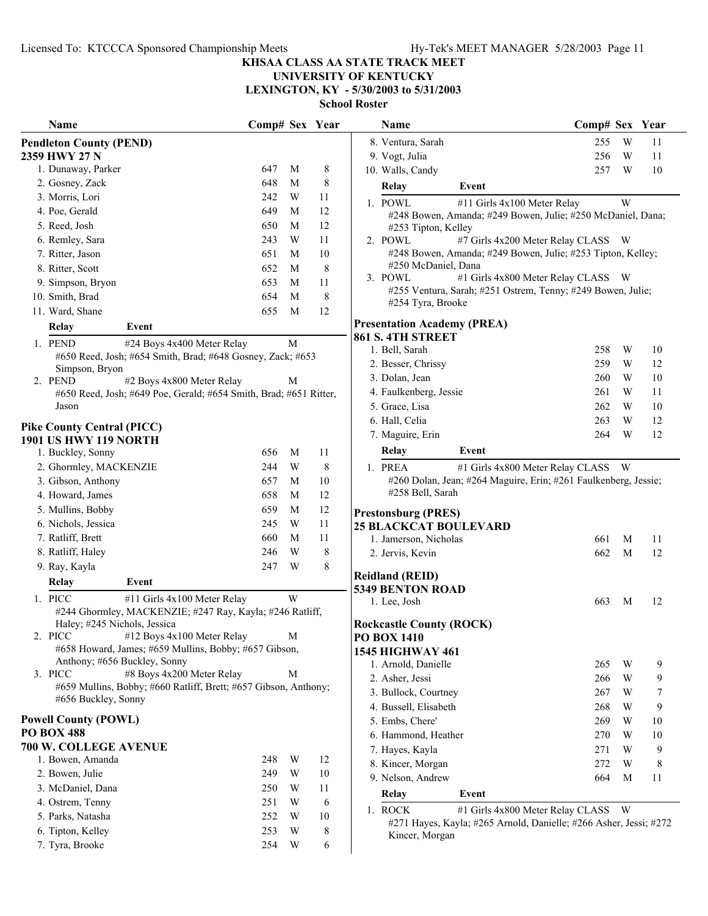**UNIVERSITY OF KENTUCKY**

**LEXINGTON, KY - 5/30/2003 to 5/31/2003**

| Name                                                                  | Comp# Sex Year |   |    | Name                                                              | Comp# Sex Year |                |    |
|-----------------------------------------------------------------------|----------------|---|----|-------------------------------------------------------------------|----------------|----------------|----|
| <b>Pendleton County (PEND)</b>                                        |                |   |    | 8. Ventura, Sarah                                                 | 255            | W              | 11 |
| 2359 HWY 27 N                                                         |                |   |    | 9. Vogt, Julia                                                    | 256            | W              | 11 |
| 1. Dunaway, Parker                                                    | 647            | M | 8  | 10. Walls, Candy                                                  | 257            | W              | 10 |
| 2. Gosney, Zack                                                       | 648            | M | 8  | Event<br><b>Relay</b>                                             |                |                |    |
| 3. Morris, Lori                                                       | 242            | W | 11 | 1. POWL<br>#11 Girls 4x100 Meter Relay                            |                | W              |    |
| 4. Poe, Gerald                                                        | 649            | M | 12 | #248 Bowen, Amanda; #249 Bowen, Julie; #250 McDaniel, Dana;       |                |                |    |
| 5. Reed, Josh                                                         | 650            | M | 12 | #253 Tipton, Kelley                                               |                |                |    |
| 6. Remley, Sara                                                       | 243            | W | 11 | #7 Girls 4x200 Meter Relay CLASS W<br>2. POWL                     |                |                |    |
| 7. Ritter, Jason                                                      | 651            | M | 10 | #248 Bowen, Amanda; #249 Bowen, Julie; #253 Tipton, Kelley;       |                |                |    |
| 8. Ritter, Scott                                                      | 652            | M | 8  | #250 McDaniel, Dana                                               |                |                |    |
| 9. Simpson, Bryon                                                     | 653            | M | 11 | 3. POWL<br>#1 Girls 4x800 Meter Relay CLASS W                     |                |                |    |
| 10. Smith, Brad                                                       | 654            | M | 8  | #255 Ventura, Sarah; #251 Ostrem, Tenny; #249 Bowen, Julie;       |                |                |    |
| 11. Ward, Shane                                                       | 655            | M | 12 | #254 Tyra, Brooke                                                 |                |                |    |
| Event<br><b>Relay</b>                                                 |                |   |    | <b>Presentation Academy (PREA)</b>                                |                |                |    |
| #24 Boys 4x400 Meter Relay<br>1. PEND                                 |                | M |    | 861 S. 4TH STREET                                                 |                |                |    |
| #650 Reed, Josh; #654 Smith, Brad; #648 Gosney, Zack; #653            |                |   |    | 1. Bell, Sarah                                                    | 258            | W              | 10 |
| Simpson, Bryon                                                        |                |   |    | 2. Besser, Chrissy                                                | 259            | W              | 12 |
| #2 Boys 4x800 Meter Relay<br>2. PEND                                  |                | M |    | 3. Dolan, Jean                                                    | 260            | W              | 10 |
| #650 Reed, Josh; #649 Poe, Gerald; #654 Smith, Brad; #651 Ritter,     |                |   |    | 4. Faulkenberg, Jessie                                            | 261            | W              | 11 |
| Jason                                                                 |                |   |    | 5. Grace, Lisa                                                    | 262            | W              | 10 |
| <b>Pike County Central (PICC)</b>                                     |                |   |    | 6. Hall, Celia                                                    | 263            | W              | 12 |
| <b>1901 US HWY 119 NORTH</b>                                          |                |   |    | 7. Maguire, Erin                                                  | 264            | W              | 12 |
| 1. Buckley, Sonny                                                     | 656            | M | 11 | Event<br><b>Relay</b>                                             |                |                |    |
| 2. Ghormley, MACKENZIE                                                | 244            | W | 8  | 1. PREA<br>#1 Girls 4x800 Meter Relay CLASS                       |                | W <sub>\</sub> |    |
| 3. Gibson, Anthony                                                    | 657            | M | 10 | #260 Dolan, Jean; #264 Maguire, Erin; #261 Faulkenberg, Jessie;   |                |                |    |
| 4. Howard, James                                                      | 658            | M | 12 | #258 Bell, Sarah                                                  |                |                |    |
| 5. Mullins, Bobby                                                     | 659            | M | 12 |                                                                   |                |                |    |
| 6. Nichols, Jessica                                                   | 245            | W | 11 | <b>Prestonsburg (PRES)</b>                                        |                |                |    |
| 7. Ratliff, Brett                                                     | 660            | M | 11 | <b>25 BLACKCAT BOULEVARD</b><br>1. Jamerson, Nicholas             | 661            | M              | 11 |
| 8. Ratliff, Haley                                                     | 246            | W | 8  | 2. Jervis, Kevin                                                  | 662            | M              | 12 |
| 9. Ray, Kayla                                                         | 247            | W | 8  |                                                                   |                |                |    |
|                                                                       |                |   |    | <b>Reidland (REID)</b>                                            |                |                |    |
| <b>Relay</b><br>Event                                                 |                |   |    | <b>5349 BENTON ROAD</b>                                           |                |                |    |
| 1. PICC<br>#11 Girls 4x100 Meter Relay                                |                | W |    | 1. Lee, Josh                                                      | 663            | M              | 12 |
| #244 Ghormley, MACKENZIE; #247 Ray, Kayla; #246 Ratliff,              |                |   |    |                                                                   |                |                |    |
| Haley; #245 Nichols, Jessica<br>2. PICC<br>#12 Boys 4x100 Meter Relay |                | М |    | <b>Rockcastle County (ROCK)</b><br><b>PO BOX 1410</b>             |                |                |    |
| #658 Howard, James; #659 Mullins, Bobby; #657 Gibson,                 |                |   |    | <b>1545 HIGHWAY 461</b>                                           |                |                |    |
| Anthony; #656 Buckley, Sonny                                          |                |   |    | 1. Arnold, Danielle                                               | 265            | W              | 9  |
| 3. PICC<br>#8 Boys 4x200 Meter Relay                                  |                | M |    | 2. Asher, Jessi                                                   | 266            | W              | 9  |
| #659 Mullins, Bobby; #660 Ratliff, Brett; #657 Gibson, Anthony;       |                |   |    | 3. Bullock, Courtney                                              | 267            | W              | 7  |
| #656 Buckley, Sonny                                                   |                |   |    | 4. Bussell, Elisabeth                                             | 268            | W              | 9  |
| <b>Powell County (POWL)</b>                                           |                |   |    | 5. Embs, Chere'                                                   | 269            | W              | 10 |
| <b>PO BOX 488</b>                                                     |                |   |    | 6. Hammond, Heather                                               | 270            | W              | 10 |
| 700 W. COLLEGE AVENUE                                                 |                |   |    |                                                                   |                | W              | 9  |
| 1. Bowen, Amanda                                                      | 248            | W | 12 | 7. Hayes, Kayla                                                   | 271            | W              |    |
| 2. Bowen, Julie                                                       | 249            | W | 10 | 8. Kincer, Morgan<br>9. Nelson, Andrew                            | 272            |                | 8  |
| 3. McDaniel, Dana                                                     | 250            | W | 11 |                                                                   | 664            | M              | 11 |
| 4. Ostrem, Tenny                                                      | 251            | W | 6  | Event<br>Relay                                                    |                |                |    |
| 5. Parks, Natasha                                                     | 252            | W | 10 | 1. ROCK<br>#1 Girls 4x800 Meter Relay CLASS                       |                | - W            |    |
| 6. Tipton, Kelley                                                     | 253            | W | 8  | #271 Hayes, Kayla; #265 Arnold, Danielle; #266 Asher, Jessi; #272 |                |                |    |
| 7. Tyra, Brooke                                                       | 254            | W | 6  | Kincer, Morgan                                                    |                |                |    |
|                                                                       |                |   |    |                                                                   |                |                |    |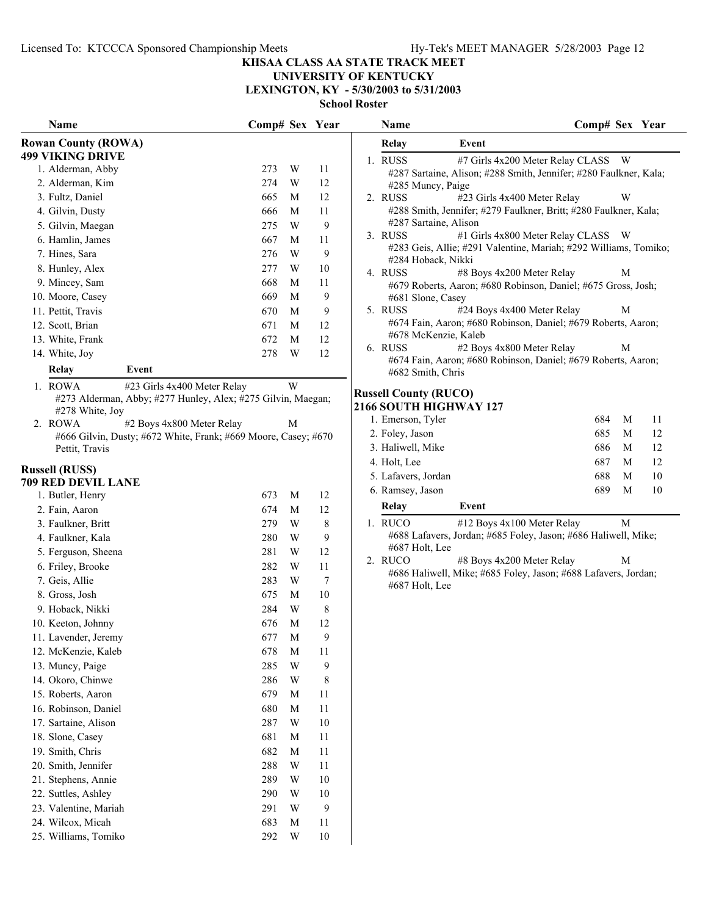#### **KHSAA CLASS AA STATE TRACK MEET**

#### **UNIVERSITY OF KENTUCKY LEXINGTON, KY - 5/30/2003 to 5/31/2003**

| Name                                                           | Comp# Sex Year |                         |        | Name                         | Comp# Sex Year                                                    |
|----------------------------------------------------------------|----------------|-------------------------|--------|------------------------------|-------------------------------------------------------------------|
| <b>Rowan County (ROWA)</b>                                     |                |                         |        | <b>Relay</b>                 | Event                                                             |
| <b>499 VIKING DRIVE</b>                                        |                |                         |        | 1. RUSS                      | #7 Girls 4x200 Meter Relay CLASS W                                |
| 1. Alderman, Abby                                              | 273            | W                       | 11     |                              | #287 Sartaine, Alison; #288 Smith, Jennifer; #280 Faulkner, Kala; |
| 2. Alderman, Kim                                               | 274            | W                       | 12     | #285 Muncy, Paige            |                                                                   |
| 3. Fultz, Daniel                                               | 665            | M                       | 12     | 2. RUSS                      | #23 Girls 4x400 Meter Relay<br>W                                  |
| 4. Gilvin, Dusty                                               | 666            | M                       | 11     |                              | #288 Smith, Jennifer; #279 Faulkner, Britt; #280 Faulkner, Kala;  |
| 5. Gilvin, Maegan                                              | 275            | W                       | 9      | #287 Sartaine, Alison        |                                                                   |
| 6. Hamlin, James                                               | 667            | M                       | 11     | 3. RUSS                      | #1 Girls 4x800 Meter Relay CLASS W                                |
| 7. Hines, Sara                                                 | 276            | W                       | 9      | #284 Hoback, Nikki           | #283 Geis, Allie; #291 Valentine, Mariah; #292 Williams, Tomiko;  |
| 8. Hunley, Alex                                                | 277            | W                       | $10\,$ | 4. RUSS                      | #8 Boys 4x200 Meter Relay<br>$\mathbf M$                          |
| 9. Mincey, Sam                                                 | 668            | M                       | 11     |                              | #679 Roberts, Aaron; #680 Robinson, Daniel; #675 Gross, Josh;     |
| 10. Moore, Casey                                               | 669            | M                       | 9      | #681 Slone, Casey            |                                                                   |
| 11. Pettit, Travis                                             | 670            | M                       | 9      | 5. RUSS                      | #24 Boys 4x400 Meter Relay<br>M                                   |
| 12. Scott, Brian                                               | 671            | M                       | 12     |                              | #674 Fain, Aaron; #680 Robinson, Daniel; #679 Roberts, Aaron;     |
| 13. White, Frank                                               | 672            | M                       | 12     | #678 McKenzie, Kaleb         |                                                                   |
| 14. White, Joy                                                 | 278            | W                       | 12     | 6. RUSS                      | #2 Boys 4x800 Meter Relay<br>M                                    |
| Relay<br>Event                                                 |                |                         |        | #682 Smith, Chris            | #674 Fain, Aaron; #680 Robinson, Daniel; #679 Roberts, Aaron;     |
| 1. ROWA<br>#23 Girls 4x400 Meter Relay                         |                | W                       |        |                              |                                                                   |
| #273 Alderman, Abby; #277 Hunley, Alex; #275 Gilvin, Maegan;   |                |                         |        | <b>Russell County (RUCO)</b> |                                                                   |
| #278 White, Joy                                                |                |                         |        | 2166 SOUTH HIGHWAY 127       |                                                                   |
| 2. ROWA<br>#2 Boys 4x800 Meter Relay                           |                | M                       |        | 1. Emerson, Tyler            | 684<br>M<br>11                                                    |
| #666 Gilvin, Dusty; #672 White, Frank; #669 Moore, Casey; #670 |                |                         |        | 2. Foley, Jason              | 685<br>M<br>12                                                    |
| Pettit, Travis                                                 |                |                         |        | 3. Haliwell, Mike            | 686<br>M<br>12                                                    |
| <b>Russell (RUSS)</b>                                          |                |                         |        | 4. Holt, Lee                 | 687<br>12<br>M                                                    |
| <b>709 RED DEVIL LANE</b>                                      |                |                         |        | 5. Lafavers, Jordan          | 688<br>M<br>10                                                    |
| 1. Butler, Henry                                               | 673            | M                       | 12     | 6. Ramsey, Jason             | 689<br>M<br>10                                                    |
| 2. Fain, Aaron                                                 | 674            | M                       | 12     | <b>Relay</b>                 | Event                                                             |
| 3. Faulkner, Britt                                             | 279            | W                       | 8      | 1. RUCO                      | #12 Boys 4x100 Meter Relay<br>$\mathbf M$                         |
| 4. Faulkner, Kala                                              | 280            | W                       | 9      |                              | #688 Lafavers, Jordan; #685 Foley, Jason; #686 Haliwell, Mike;    |
| 5. Ferguson, Sheena                                            | 281            | W                       | 12     | #687 Holt, Lee               |                                                                   |
| 6. Friley, Brooke                                              | 282            | W                       | 11     | 2. RUCO                      | #8 Boys 4x200 Meter Relay<br>M                                    |
| 7. Geis, Allie                                                 | 283            | W                       | $\tau$ |                              | #686 Haliwell, Mike; #685 Foley, Jason; #688 Lafavers, Jordan;    |
| 8. Gross, Josh                                                 | 675            | M                       | $10\,$ | #687 Holt, Lee               |                                                                   |
| 9. Hoback, Nikki                                               | 284            | W                       | 8      |                              |                                                                   |
| 10. Keeton, Johnny                                             | 676            | M                       | 12     |                              |                                                                   |
| 11. Lavender, Jeremy                                           | 677            | $\mathbf{M}$            | 9      |                              |                                                                   |
| 12. McKenzie, Kaleb                                            | 678            | $\mathbf M$             | 11     |                              |                                                                   |
| 13. Muncy, Paige                                               | 285            | $\ensuremath{\text{W}}$ | 9      |                              |                                                                   |
| 14. Okoro, Chinwe                                              | 286            | W                       | 8      |                              |                                                                   |
| 15. Roberts, Aaron                                             | 679            | $\mathbf M$             |        |                              |                                                                   |
| 16. Robinson, Daniel                                           |                |                         | 11     |                              |                                                                   |
|                                                                | 680            | M                       | 11     |                              |                                                                   |
| 17. Sartaine, Alison                                           | 287            | W                       | $10\,$ |                              |                                                                   |
| 18. Slone, Casey                                               | 681            | $\mathbf{M}$            | 11     |                              |                                                                   |
| 19. Smith, Chris                                               | 682            | $\mathbf M$             | 11     |                              |                                                                   |
| 20. Smith, Jennifer                                            | 288            | W                       | 11     |                              |                                                                   |
| 21. Stephens, Annie                                            | 289            | W                       | $10\,$ |                              |                                                                   |
| 22. Suttles, Ashley                                            | 290            | W                       | $10\,$ |                              |                                                                   |
| 23. Valentine, Mariah                                          | 291            | W                       | 9      |                              |                                                                   |
| 24. Wilcox, Micah                                              | 683            | M                       | 11     |                              |                                                                   |
| 25. Williams, Tomiko                                           | 292            | W                       | $10\,$ |                              |                                                                   |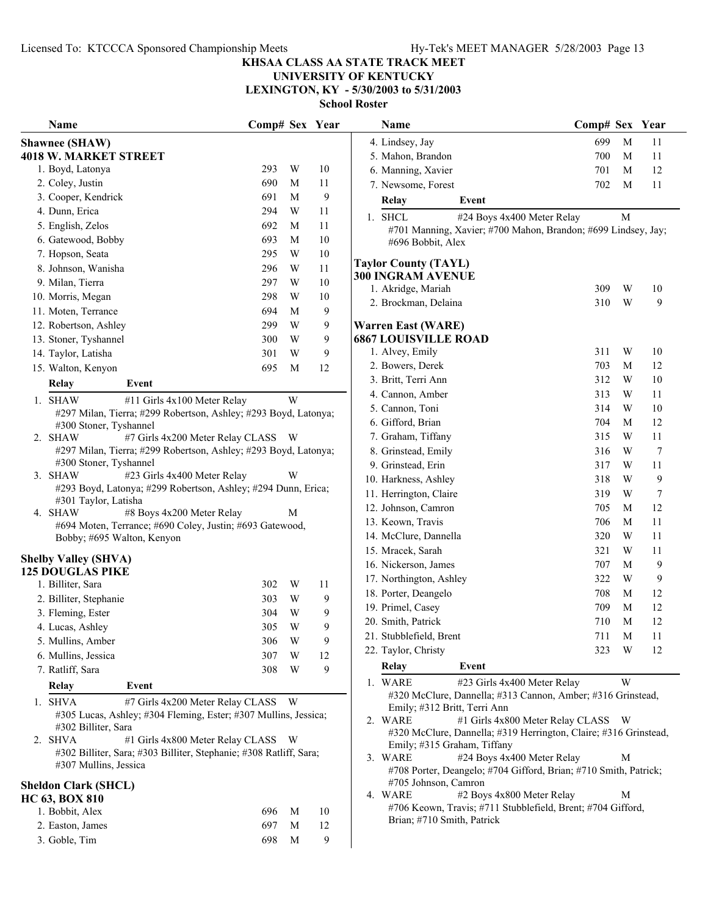3. Goble, Tim 698 M 9

#### **KHSAA CLASS AA STATE TRACK MEET**

## **UNIVERSITY OF KENTUCKY**

**LEXINGTON, KY - 5/30/2003 to 5/31/2003**

| Name                                                                                      |                                                                                           | Comp# Sex Year        |                                       |                 | Name                                                                                                | Comp# Sex Year |             |        |
|-------------------------------------------------------------------------------------------|-------------------------------------------------------------------------------------------|-----------------------|---------------------------------------|-----------------|-----------------------------------------------------------------------------------------------------|----------------|-------------|--------|
| <b>Shawnee (SHAW)</b>                                                                     |                                                                                           |                       |                                       | 4. Lindsey, Jay | 699                                                                                                 | $\mathbf{M}$   | 11          |        |
|                                                                                           | <b>4018 W. MARKET STREET</b>                                                              |                       |                                       |                 | 5. Mahon, Brandon                                                                                   | 700            | M           | 11     |
|                                                                                           | 1. Boyd, Latonya                                                                          | 293                   | W                                     | 10              | 6. Manning, Xavier                                                                                  | 701            | M           | 12     |
|                                                                                           | 2. Coley, Justin                                                                          | 690                   | M                                     | 11              | 7. Newsome, Forest                                                                                  | 702            | M           | 11     |
|                                                                                           | 3. Cooper, Kendrick                                                                       | 691                   | M                                     | 9               | Relay<br>Event                                                                                      |                |             |        |
|                                                                                           | 4. Dunn, Erica                                                                            | 294                   | W                                     | 11              | 1. SHCL<br>#24 Boys 4x400 Meter Relay                                                               |                | M           |        |
|                                                                                           | 5. English, Zelos                                                                         | 692                   | M                                     | 11              | #701 Manning, Xavier; #700 Mahon, Brandon; #699 Lindsey, Jay;                                       |                |             |        |
|                                                                                           | 6. Gatewood, Bobby                                                                        | 693                   | M                                     | 10              | #696 Bobbit, Alex                                                                                   |                |             |        |
|                                                                                           | 7. Hopson, Seata                                                                          | 295                   | W                                     | 10              | <b>Taylor County (TAYL)</b>                                                                         |                |             |        |
|                                                                                           | 8. Johnson, Wanisha                                                                       | 296                   | W                                     | 11              | 300 INGRAM AVENUE                                                                                   |                |             |        |
|                                                                                           | 9. Milan, Tierra                                                                          | 297                   | W                                     | 10              | 1. Akridge, Mariah                                                                                  | 309            | W           | 10     |
|                                                                                           | 10. Morris, Megan                                                                         | 298                   | W                                     | 10              | 2. Brockman, Delaina                                                                                | 310            | W           | 9      |
|                                                                                           | 11. Moten, Terrance                                                                       | 694                   | M                                     | 9               |                                                                                                     |                |             |        |
|                                                                                           | 12. Robertson, Ashley                                                                     | 299                   | W                                     | 9               | <b>Warren East (WARE)</b>                                                                           |                |             |        |
|                                                                                           | 13. Stoner, Tyshannel                                                                     | 300                   | W                                     | 9               | <b>6867 LOUISVILLE ROAD</b>                                                                         |                |             |        |
|                                                                                           | 14. Taylor, Latisha                                                                       | 301                   | W                                     | 9               | 1. Alvey, Emily                                                                                     | 311            | W           | 10     |
|                                                                                           | 15. Walton, Kenyon                                                                        | 695                   | M                                     | 12              | 2. Bowers, Derek                                                                                    | 703            | M           | 12     |
|                                                                                           | Relay<br>Event                                                                            |                       |                                       |                 | 3. Britt, Terri Ann                                                                                 | 312            | W           | 10     |
|                                                                                           | #11 Girls 4x100 Meter Relay<br>1. SHAW                                                    |                       | W                                     |                 | 4. Cannon, Amber                                                                                    | 313            | W           | 11     |
|                                                                                           | #297 Milan, Tierra; #299 Robertson, Ashley; #293 Boyd, Latonya;                           |                       |                                       |                 | 5. Cannon, Toni                                                                                     | 314            | W           | 10     |
|                                                                                           | #300 Stoner, Tyshannel                                                                    |                       |                                       |                 | 6. Gifford, Brian                                                                                   | 704            | M           | 12     |
|                                                                                           | #7 Girls 4x200 Meter Relay CLASS W<br>2. SHAW                                             |                       |                                       |                 | 7. Graham, Tiffany                                                                                  | 315            | W           | 11     |
|                                                                                           | #297 Milan, Tierra; #299 Robertson, Ashley; #293 Boyd, Latonya;<br>#300 Stoner, Tyshannel |                       |                                       |                 | 8. Grinstead, Emily                                                                                 | 316            | W           | 7      |
|                                                                                           | 3. SHAW<br>#23 Girls 4x400 Meter Relay                                                    |                       | W                                     |                 | 9. Grinstead, Erin                                                                                  | 317            | W           | 11     |
|                                                                                           | #293 Boyd, Latonya; #299 Robertson, Ashley; #294 Dunn, Erica;                             |                       |                                       |                 | 10. Harkness, Ashley                                                                                | 318            | W           | 9      |
|                                                                                           | #301 Taylor, Latisha                                                                      |                       |                                       |                 | 11. Herrington, Claire                                                                              | 319            | W           | $\tau$ |
| 4. SHAW<br>#8 Boys 4x200 Meter Relay<br>M                                                 |                                                                                           | 12. Johnson, Camron   | 705                                   | M               | 12                                                                                                  |                |             |        |
|                                                                                           | #694 Moten, Terrance; #690 Coley, Justin; #693 Gatewood,                                  |                       |                                       |                 | 13. Keown, Travis                                                                                   | 706            | M           | 11     |
| Bobby; #695 Walton, Kenyon                                                                |                                                                                           | 14. McClure, Dannella | 320                                   | W               | 11                                                                                                  |                |             |        |
|                                                                                           | <b>Shelby Valley (SHVA)</b>                                                               |                       |                                       |                 | 15. Mracek, Sarah                                                                                   | 321            | W           | 11     |
|                                                                                           | <b>125 DOUGLAS PIKE</b>                                                                   |                       |                                       |                 | 16. Nickerson, James                                                                                | 707            | M           | 9      |
|                                                                                           | 1. Billiter, Sara                                                                         | 302                   | W                                     | 11              | 17. Northington, Ashley                                                                             | 322            | W           | 9      |
|                                                                                           | 2. Billiter, Stephanie                                                                    | 303                   | W                                     | 9               | 18. Porter, Deangelo                                                                                | 708            | M           | 12     |
|                                                                                           | 3. Fleming, Ester                                                                         | 304                   | W                                     | 9               | 19. Primel, Casey                                                                                   | 709            | M           | 12     |
|                                                                                           | 4. Lucas, Ashley                                                                          | 305                   | W                                     | 9               | 20. Smith, Patrick                                                                                  | 710            | $\mathbf M$ | 12     |
|                                                                                           | 5. Mullins, Amber                                                                         | 306                   | W                                     | 9               | 21. Stubblefield, Brent                                                                             | 711            | M           | 11     |
|                                                                                           | 6. Mullins, Jessica                                                                       | 307                   | W                                     | 12              | 22. Taylor, Christy                                                                                 | 323            | W           | 12     |
|                                                                                           | 7. Ratliff, Sara                                                                          | 308                   | W                                     | 9               | Event<br>Relay                                                                                      |                |             |        |
|                                                                                           | Event<br>Relay                                                                            |                       |                                       |                 | 1. WARE<br>#23 Girls 4x400 Meter Relay                                                              |                | W           |        |
|                                                                                           | 1. SHVA<br>#7 Girls 4x200 Meter Relay CLASS W                                             |                       |                                       |                 | #320 McClure, Dannella; #313 Cannon, Amber; #316 Grinstead,                                         |                |             |        |
|                                                                                           | #305 Lucas, Ashley; #304 Fleming, Ester; #307 Mullins, Jessica;                           |                       |                                       |                 | Emily; #312 Britt, Terri Ann<br>2. WARE<br>#1 Girls 4x800 Meter Relay CLASS W                       |                |             |        |
|                                                                                           | #302 Billiter, Sara                                                                       |                       |                                       |                 | #320 McClure, Dannella; #319 Herrington, Claire; #316 Grinstead,                                    |                |             |        |
| 2. SHVA<br>#1 Girls 4x800 Meter Relay CLASS W                                             |                                                                                           |                       | Emily; #315 Graham, Tiffany           |                 |                                                                                                     |                |             |        |
| #302 Billiter, Sara; #303 Billiter, Stephanie; #308 Ratliff, Sara;                        |                                                                                           |                       | 3. WARE<br>#24 Boys 4x400 Meter Relay |                 | M                                                                                                   |                |             |        |
| #307 Mullins, Jessica<br>#708 Porter, Deangelo; #704 Gifford, Brian; #710 Smith, Patrick; |                                                                                           |                       |                                       |                 |                                                                                                     |                |             |        |
|                                                                                           | <b>Sheldon Clark (SHCL)</b>                                                               |                       |                                       |                 | #705 Johnson, Camron                                                                                |                |             |        |
|                                                                                           | <b>HC 63, BOX 810</b>                                                                     |                       |                                       |                 | 4. WARE<br>#2 Boys 4x800 Meter Relay<br>#706 Keown, Travis; #711 Stubblefield, Brent; #704 Gifford, |                | M           |        |
|                                                                                           | 1. Bobbit, Alex                                                                           | 696                   | M                                     | 10              | Brian; #710 Smith, Patrick                                                                          |                |             |        |
|                                                                                           | 2. Easton, James                                                                          | 697                   | M                                     | 12              |                                                                                                     |                |             |        |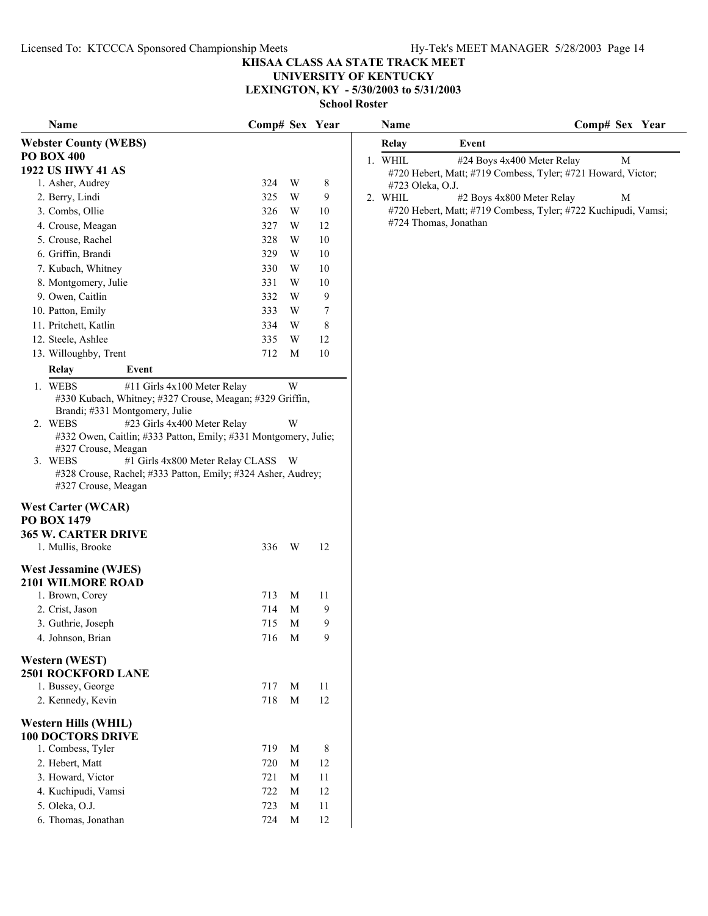#### **UNIVERSITY OF KENTUCKY LEXINGTON, KY - 5/30/2003 to 5/31/2003**

| Name                                                            | Comp# Sex Year |                |        | Name                  | Comp# Sex Year                                                 |
|-----------------------------------------------------------------|----------------|----------------|--------|-----------------------|----------------------------------------------------------------|
| <b>Webster County (WEBS)</b>                                    |                |                |        | <b>Relay</b>          | Event                                                          |
| <b>PO BOX 400</b>                                               |                |                |        | 1. WHIL               | #24 Boys 4x400 Meter Relay<br>M                                |
| <b>1922 US HWY 41 AS</b>                                        |                |                |        |                       | #720 Hebert, Matt; #719 Combess, Tyler; #721 Howard, Victor;   |
| 1. Asher, Audrey                                                | 324            | W              | 8      | #723 Oleka, O.J.      |                                                                |
| 2. Berry, Lindi                                                 | 325            | W              | 9      | 2. WHIL               | #2 Boys 4x800 Meter Relay<br>M                                 |
| 3. Combs, Ollie                                                 | 326            | W              | $10\,$ |                       | #720 Hebert, Matt; #719 Combess, Tyler; #722 Kuchipudi, Vamsi; |
| 4. Crouse, Meagan                                               | 327            | W              | 12     | #724 Thomas, Jonathan |                                                                |
| 5. Crouse, Rachel                                               | 328            | W              | $10\,$ |                       |                                                                |
| 6. Griffin, Brandi                                              | 329            | W              | $10\,$ |                       |                                                                |
| 7. Kubach, Whitney                                              | 330            | W              | 10     |                       |                                                                |
| 8. Montgomery, Julie                                            | 331            | W              | 10     |                       |                                                                |
| 9. Owen, Caitlin                                                | 332            | W              | 9      |                       |                                                                |
| 10. Patton, Emily                                               | 333            | W              | 7      |                       |                                                                |
| 11. Pritchett, Katlin                                           | 334            | W              | 8      |                       |                                                                |
| 12. Steele, Ashlee                                              | 335            | W              | 12     |                       |                                                                |
| 13. Willoughby, Trent                                           | 712            | M              | 10     |                       |                                                                |
| Relay<br>Event                                                  |                |                |        |                       |                                                                |
| 1. WEBS<br>#11 Girls 4x100 Meter Relay                          |                | W              |        |                       |                                                                |
| #330 Kubach, Whitney; #327 Crouse, Meagan; #329 Griffin,        |                |                |        |                       |                                                                |
| Brandi; #331 Montgomery, Julie                                  |                |                |        |                       |                                                                |
| 2. WEBS<br>#23 Girls 4x400 Meter Relay                          |                | W              |        |                       |                                                                |
| #332 Owen, Caitlin; #333 Patton, Emily; #331 Montgomery, Julie; |                |                |        |                       |                                                                |
| #327 Crouse, Meagan                                             |                |                |        |                       |                                                                |
| #1 Girls 4x800 Meter Relay CLASS W<br>3. WEBS                   |                |                |        |                       |                                                                |
| #328 Crouse, Rachel; #333 Patton, Emily; #324 Asher, Audrey;    |                |                |        |                       |                                                                |
| #327 Crouse, Meagan                                             |                |                |        |                       |                                                                |
| <b>West Carter (WCAR)</b>                                       |                |                |        |                       |                                                                |
| <b>PO BOX 1479</b>                                              |                |                |        |                       |                                                                |
| <b>365 W. CARTER DRIVE</b>                                      |                |                |        |                       |                                                                |
| 1. Mullis, Brooke                                               | 336            | W <sub>1</sub> | 12     |                       |                                                                |
| <b>West Jessamine (WJES)</b>                                    |                |                |        |                       |                                                                |
| <b>2101 WILMORE ROAD</b>                                        |                |                |        |                       |                                                                |
| 1. Brown, Corey                                                 | 713            | M              | 11     |                       |                                                                |
| 2. Crist, Jason                                                 | 714            | M              | 9      |                       |                                                                |
| 3. Guthrie, Joseph                                              | 715            | M              | 9      |                       |                                                                |
| 4. Johnson, Brian                                               | 716 M          |                | 9      |                       |                                                                |
|                                                                 |                |                |        |                       |                                                                |
| <b>Western (WEST)</b>                                           |                |                |        |                       |                                                                |
| <b>2501 ROCKFORD LANE</b>                                       |                |                |        |                       |                                                                |
| 1. Bussey, George                                               | 717            | M              | 11     |                       |                                                                |
| 2. Kennedy, Kevin                                               | 718            | M              | 12     |                       |                                                                |
| Western Hills (WHIL)                                            |                |                |        |                       |                                                                |
| <b>100 DOCTORS DRIVE</b>                                        |                |                |        |                       |                                                                |
| 1. Combess, Tyler                                               | 719            | M              | 8      |                       |                                                                |
| 2. Hebert, Matt                                                 | 720            | M              | 12     |                       |                                                                |
| 3. Howard, Victor                                               | 721            | M              | 11     |                       |                                                                |
| 4. Kuchipudi, Vamsi                                             | 722            | M              | 12     |                       |                                                                |
| 5. Oleka, O.J.                                                  | 723            | M              | 11     |                       |                                                                |
| 6. Thomas, Jonathan                                             | 724            | M              | 12     |                       |                                                                |
|                                                                 |                |                |        |                       |                                                                |